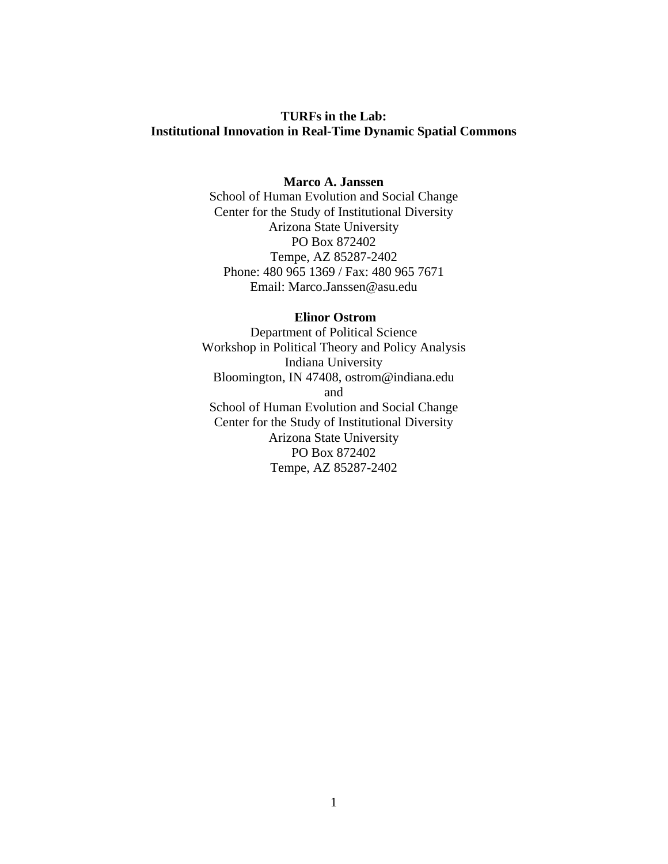# **TURFs in the Lab: Institutional Innovation in Real-Time Dynamic Spatial Commons**

# **Marco A. Janssen**

School of Human Evolution and Social Change Center for the Study of Institutional Diversity Arizona State University PO Box 872402 Tempe, AZ 85287-2402 Phone: 480 965 1369 / Fax: 480 965 7671 Email: Marco.Janssen@asu.edu

#### **Elinor Ostrom**

Department of Political Science Workshop in Political Theory and Policy Analysis Indiana University Bloomington, IN 47408, ostrom@indiana.edu and School of Human Evolution and Social Change Center for the Study of Institutional Diversity Arizona State University PO Box 872402 Tempe, AZ 85287-2402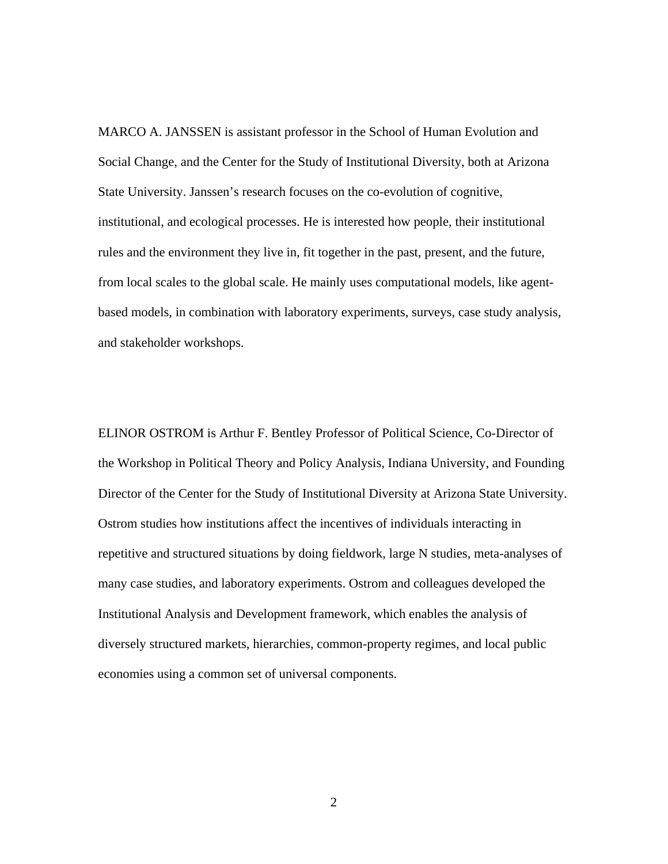MARCO A. JANSSEN is assistant professor in the School of Human Evolution and Social Change, and the Center for the Study of Institutional Diversity, both at Arizona State University. Janssen's research focuses on the co-evolution of cognitive, institutional, and ecological processes. He is interested how people, their institutional rules and the environment they live in, fit together in the past, present, and the future, from local scales to the global scale. He mainly uses computational models, like agentbased models, in combination with laboratory experiments, surveys, case study analysis, and stakeholder workshops.

ELINOR OSTROM is Arthur F. Bentley Professor of Political Science, Co-Director of the Workshop in Political Theory and Policy Analysis, Indiana University, and Founding Director of the Center for the Study of Institutional Diversity at Arizona State University. Ostrom studies how institutions affect the incentives of individuals interacting in repetitive and structured situations by doing fieldwork, large N studies, meta-analyses of many case studies, and laboratory experiments. Ostrom and colleagues developed the Institutional Analysis and Development framework, which enables the analysis of diversely structured markets, hierarchies, common-property regimes, and local public economies using a common set of universal components.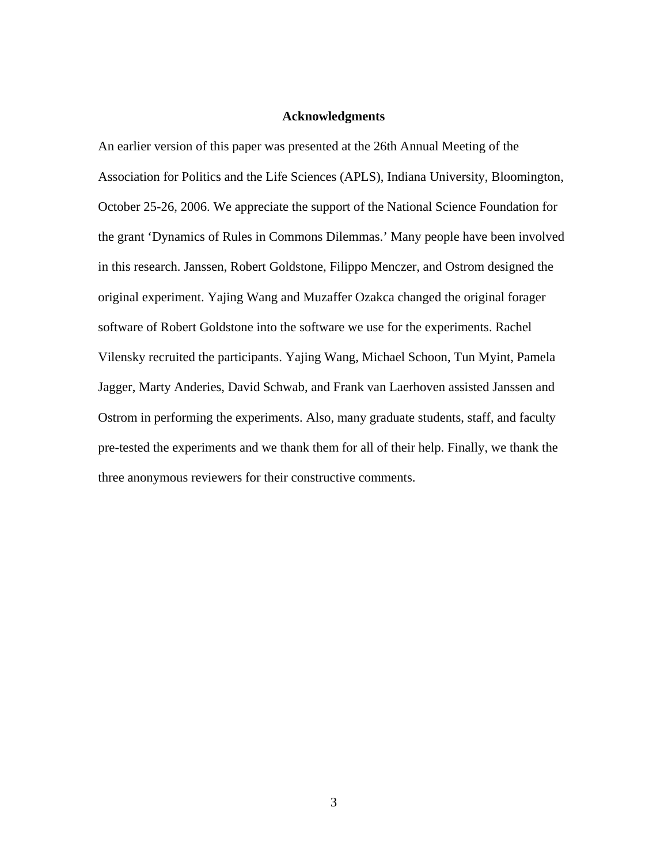### **Acknowledgments**

An earlier version of this paper was presented at the 26th Annual Meeting of the Association for Politics and the Life Sciences (APLS), Indiana University, Bloomington, October 25-26, 2006. We appreciate the support of the National Science Foundation for the grant 'Dynamics of Rules in Commons Dilemmas.' Many people have been involved in this research. Janssen, Robert Goldstone, Filippo Menczer, and Ostrom designed the original experiment. Yajing Wang and Muzaffer Ozakca changed the original forager software of Robert Goldstone into the software we use for the experiments. Rachel Vilensky recruited the participants. Yajing Wang, Michael Schoon, Tun Myint, Pamela Jagger, Marty Anderies, David Schwab, and Frank van Laerhoven assisted Janssen and Ostrom in performing the experiments. Also, many graduate students, staff, and faculty pre-tested the experiments and we thank them for all of their help. Finally, we thank the three anonymous reviewers for their constructive comments.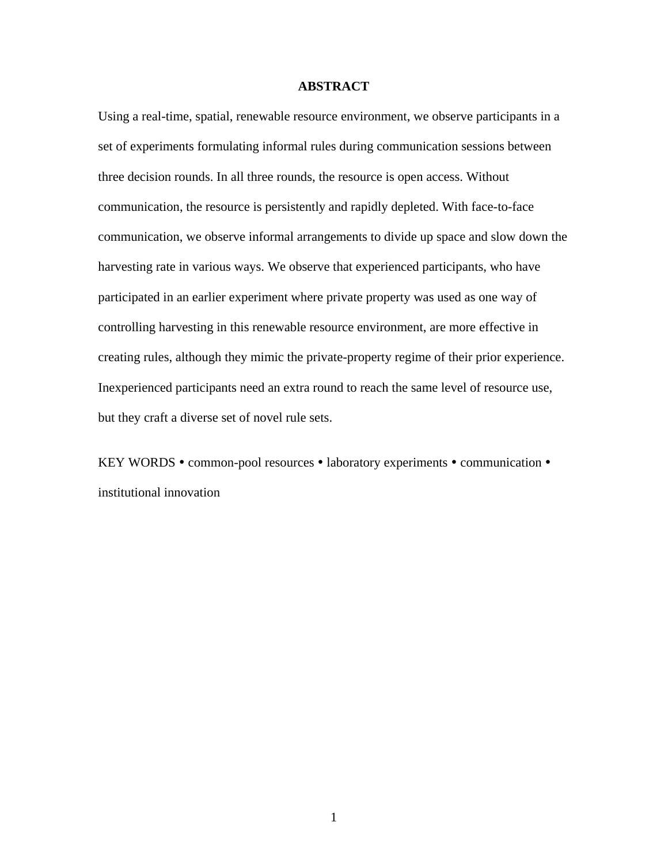# **ABSTRACT**

Using a real-time, spatial, renewable resource environment, we observe participants in a set of experiments formulating informal rules during communication sessions between three decision rounds. In all three rounds, the resource is open access. Without communication, the resource is persistently and rapidly depleted. With face-to-face communication, we observe informal arrangements to divide up space and slow down the harvesting rate in various ways. We observe that experienced participants, who have participated in an earlier experiment where private property was used as one way of controlling harvesting in this renewable resource environment, are more effective in creating rules, although they mimic the private-property regime of their prior experience. Inexperienced participants need an extra round to reach the same level of resource use, but they craft a diverse set of novel rule sets.

KEY WORDS • common-pool resources • laboratory experiments • communication • institutional innovation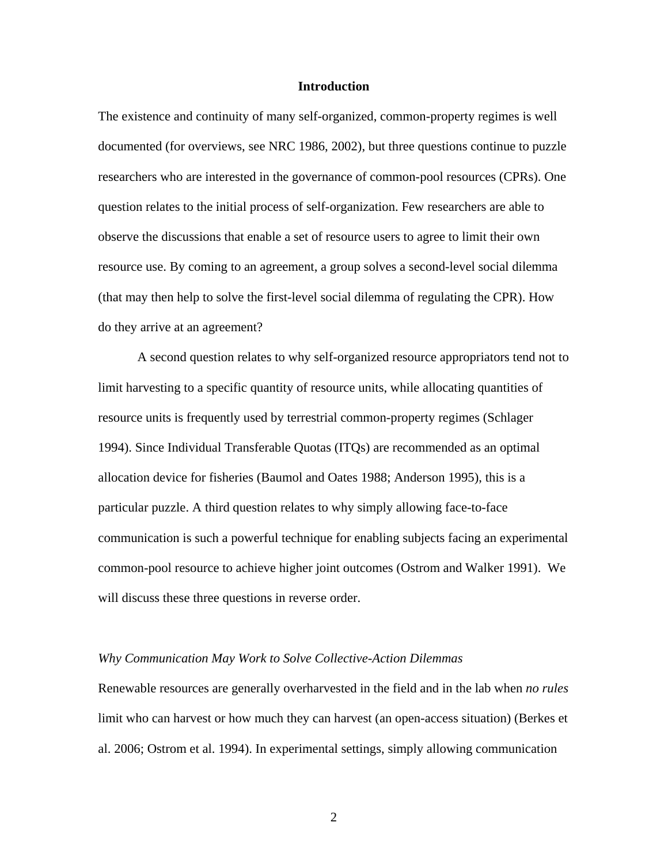#### **Introduction**

The existence and continuity of many self-organized, common-property regimes is well documented (for overviews, see NRC 1986, 2002), but three questions continue to puzzle researchers who are interested in the governance of common-pool resources (CPRs). One question relates to the initial process of self-organization. Few researchers are able to observe the discussions that enable a set of resource users to agree to limit their own resource use. By coming to an agreement, a group solves a second-level social dilemma (that may then help to solve the first-level social dilemma of regulating the CPR). How do they arrive at an agreement?

A second question relates to why self-organized resource appropriators tend not to limit harvesting to a specific quantity of resource units, while allocating quantities of resource units is frequently used by terrestrial common-property regimes (Schlager 1994). Since Individual Transferable Quotas (ITQs) are recommended as an optimal allocation device for fisheries (Baumol and Oates 1988; Anderson 1995), this is a particular puzzle. A third question relates to why simply allowing face-to-face communication is such a powerful technique for enabling subjects facing an experimental common-pool resource to achieve higher joint outcomes (Ostrom and Walker 1991). We will discuss these three questions in reverse order.

#### *Why Communication May Work to Solve Collective-Action Dilemmas*

Renewable resources are generally overharvested in the field and in the lab when *no rules* limit who can harvest or how much they can harvest (an open-access situation) (Berkes et al. 2006; Ostrom et al. 1994). In experimental settings, simply allowing communication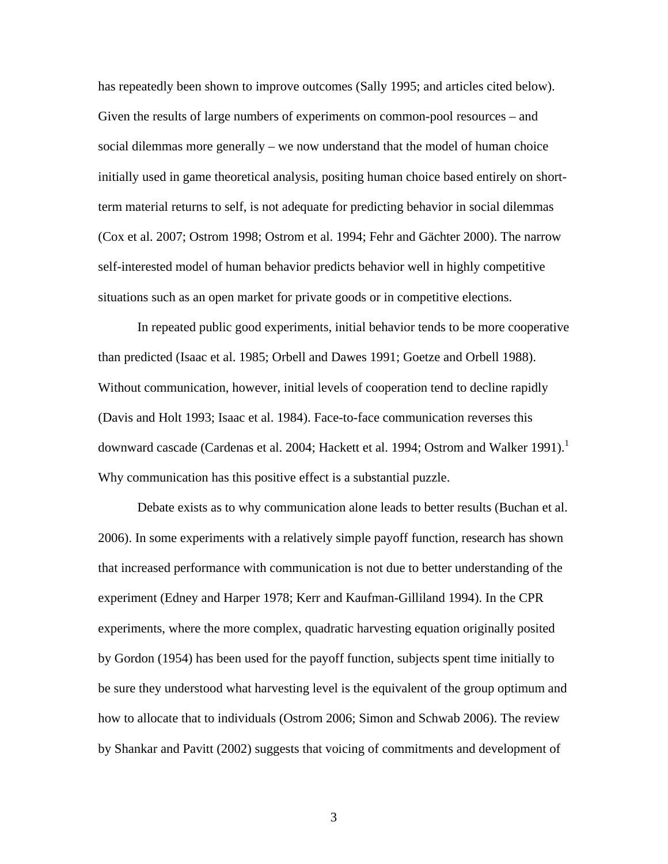has repeatedly been shown to improve outcomes (Sally 1995; and articles cited below). Given the results of large numbers of experiments on common-pool resources – and social dilemmas more generally – we now understand that the model of human choice initially used in game theoretical analysis, positing human choice based entirely on shortterm material returns to self, is not adequate for predicting behavior in social dilemmas (Cox et al. 2007; Ostrom 1998; Ostrom et al. 1994; Fehr and Gächter 2000). The narrow self-interested model of human behavior predicts behavior well in highly competitive situations such as an open market for private goods or in competitive elections.

In repeated public good experiments, initial behavior tends to be more cooperative than predicted (Isaac et al. 1985; Orbell and Dawes 1991; Goetze and Orbell 1988). Without communication, however, initial levels of cooperation tend to decline rapidly (Davis and Holt 1993; Isaac et al. 1984). Face-to-face communication reverses this downward cascade (Cardenas et al. 2004; Hackett et al. 1994; Ostrom and Walker 1991).<sup>1</sup> Why communication has this positive effect is a substantial puzzle.

Debate exists as to why communication alone leads to better results (Buchan et al. 2006). In some experiments with a relatively simple payoff function, research has shown that increased performance with communication is not due to better understanding of the experiment (Edney and Harper 1978; Kerr and Kaufman-Gilliland 1994). In the CPR experiments, where the more complex, quadratic harvesting equation originally posited by Gordon (1954) has been used for the payoff function, subjects spent time initially to be sure they understood what harvesting level is the equivalent of the group optimum and how to allocate that to individuals (Ostrom 2006; Simon and Schwab 2006). The review by Shankar and Pavitt (2002) suggests that voicing of commitments and development of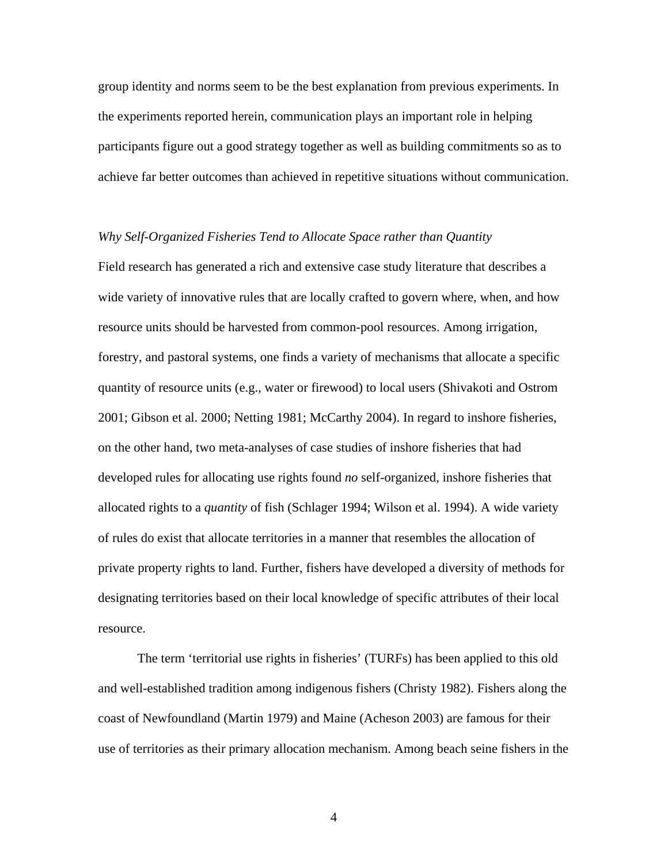group identity and norms seem to be the best explanation from previous experiments. In the experiments reported herein, communication plays an important role in helping participants figure out a good strategy together as well as building commitments so as to achieve far better outcomes than achieved in repetitive situations without communication.

#### *Why Self-Organized Fisheries Tend to Allocate Space rather than Quantity*

Field research has generated a rich and extensive case study literature that describes a wide variety of innovative rules that are locally crafted to govern where, when, and how resource units should be harvested from common-pool resources. Among irrigation, forestry, and pastoral systems, one finds a variety of mechanisms that allocate a specific quantity of resource units (e.g., water or firewood) to local users (Shivakoti and Ostrom 2001; Gibson et al. 2000; Netting 1981; McCarthy 2004). In regard to inshore fisheries, on the other hand, two meta-analyses of case studies of inshore fisheries that had developed rules for allocating use rights found *no* self-organized, inshore fisheries that allocated rights to a *quantity* of fish (Schlager 1994; Wilson et al. 1994). A wide variety of rules do exist that allocate territories in a manner that resembles the allocation of private property rights to land. Further, fishers have developed a diversity of methods for designating territories based on their local knowledge of specific attributes of their local resource.

The term 'territorial use rights in fisheries' (TURFs) has been applied to this old and well-established tradition among indigenous fishers (Christy 1982). Fishers along the coast of Newfoundland (Martin 1979) and Maine (Acheson 2003) are famous for their use of territories as their primary allocation mechanism. Among beach seine fishers in the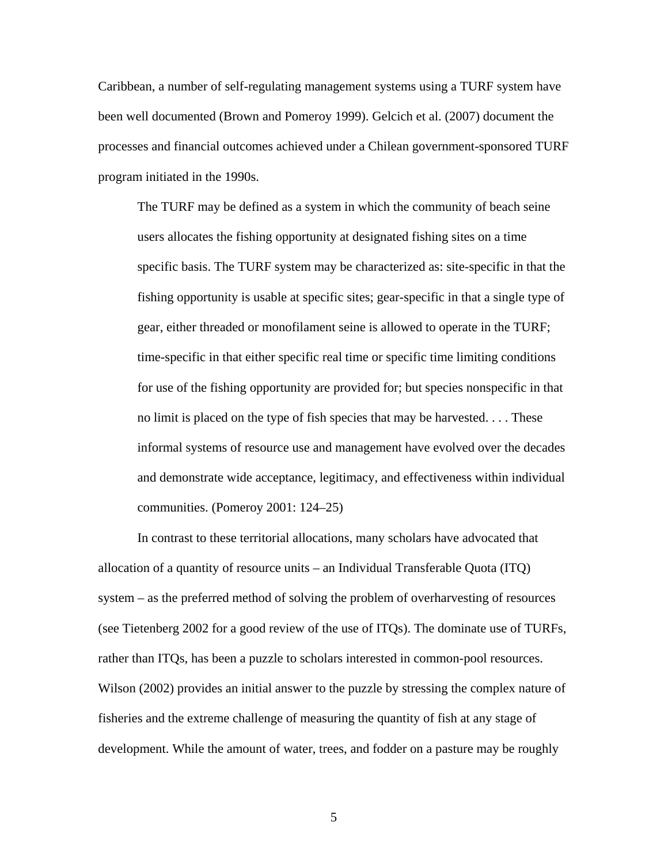Caribbean, a number of self-regulating management systems using a TURF system have been well documented (Brown and Pomeroy 1999). Gelcich et al. (2007) document the processes and financial outcomes achieved under a Chilean government-sponsored TURF program initiated in the 1990s.

The TURF may be defined as a system in which the community of beach seine users allocates the fishing opportunity at designated fishing sites on a time specific basis. The TURF system may be characterized as: site-specific in that the fishing opportunity is usable at specific sites; gear-specific in that a single type of gear, either threaded or monofilament seine is allowed to operate in the TURF; time-specific in that either specific real time or specific time limiting conditions for use of the fishing opportunity are provided for; but species nonspecific in that no limit is placed on the type of fish species that may be harvested. . . . These informal systems of resource use and management have evolved over the decades and demonstrate wide acceptance, legitimacy, and effectiveness within individual communities. (Pomeroy 2001: 124–25)

In contrast to these territorial allocations, many scholars have advocated that allocation of a quantity of resource units – an Individual Transferable Quota (ITQ) system – as the preferred method of solving the problem of overharvesting of resources (see Tietenberg 2002 for a good review of the use of ITQs). The dominate use of TURFs, rather than ITQs, has been a puzzle to scholars interested in common-pool resources. Wilson (2002) provides an initial answer to the puzzle by stressing the complex nature of fisheries and the extreme challenge of measuring the quantity of fish at any stage of development. While the amount of water, trees, and fodder on a pasture may be roughly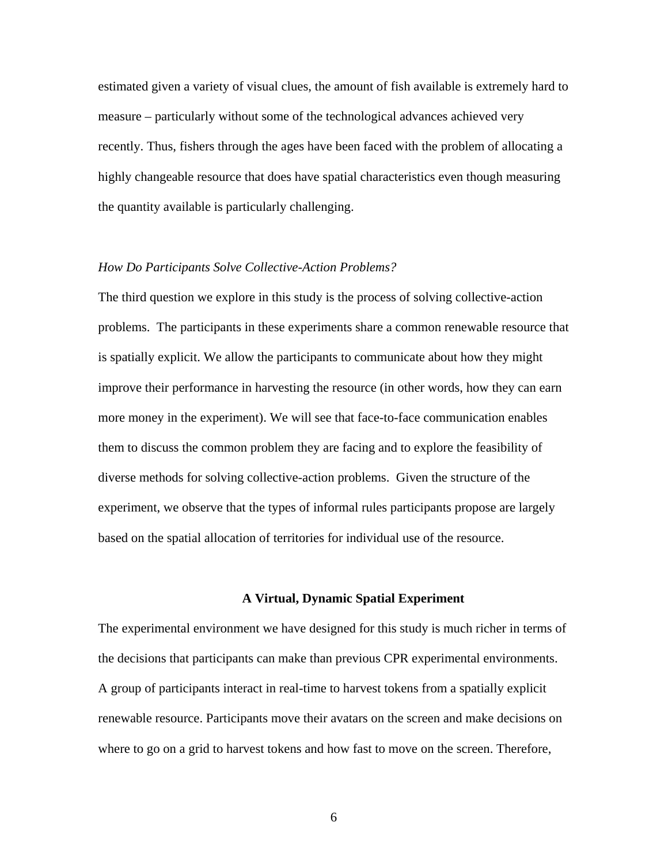estimated given a variety of visual clues, the amount of fish available is extremely hard to measure – particularly without some of the technological advances achieved very recently. Thus, fishers through the ages have been faced with the problem of allocating a highly changeable resource that does have spatial characteristics even though measuring the quantity available is particularly challenging.

## *How Do Participants Solve Collective-Action Problems?*

The third question we explore in this study is the process of solving collective-action problems. The participants in these experiments share a common renewable resource that is spatially explicit. We allow the participants to communicate about how they might improve their performance in harvesting the resource (in other words, how they can earn more money in the experiment). We will see that face-to-face communication enables them to discuss the common problem they are facing and to explore the feasibility of diverse methods for solving collective-action problems. Given the structure of the experiment, we observe that the types of informal rules participants propose are largely based on the spatial allocation of territories for individual use of the resource.

#### **A Virtual, Dynamic Spatial Experiment**

The experimental environment we have designed for this study is much richer in terms of the decisions that participants can make than previous CPR experimental environments. A group of participants interact in real-time to harvest tokens from a spatially explicit renewable resource. Participants move their avatars on the screen and make decisions on where to go on a grid to harvest tokens and how fast to move on the screen. Therefore,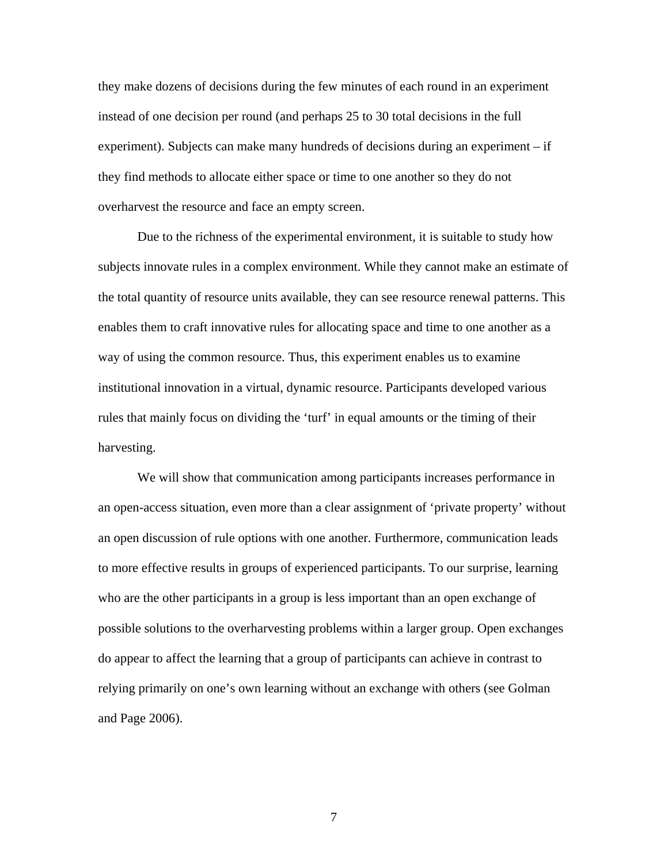they make dozens of decisions during the few minutes of each round in an experiment instead of one decision per round (and perhaps 25 to 30 total decisions in the full experiment). Subjects can make many hundreds of decisions during an experiment – if they find methods to allocate either space or time to one another so they do not overharvest the resource and face an empty screen.

Due to the richness of the experimental environment, it is suitable to study how subjects innovate rules in a complex environment. While they cannot make an estimate of the total quantity of resource units available, they can see resource renewal patterns. This enables them to craft innovative rules for allocating space and time to one another as a way of using the common resource. Thus, this experiment enables us to examine institutional innovation in a virtual, dynamic resource. Participants developed various rules that mainly focus on dividing the 'turf' in equal amounts or the timing of their harvesting.

We will show that communication among participants increases performance in an open-access situation, even more than a clear assignment of 'private property' without an open discussion of rule options with one another. Furthermore, communication leads to more effective results in groups of experienced participants. To our surprise, learning who are the other participants in a group is less important than an open exchange of possible solutions to the overharvesting problems within a larger group. Open exchanges do appear to affect the learning that a group of participants can achieve in contrast to relying primarily on one's own learning without an exchange with others (see Golman and Page 2006).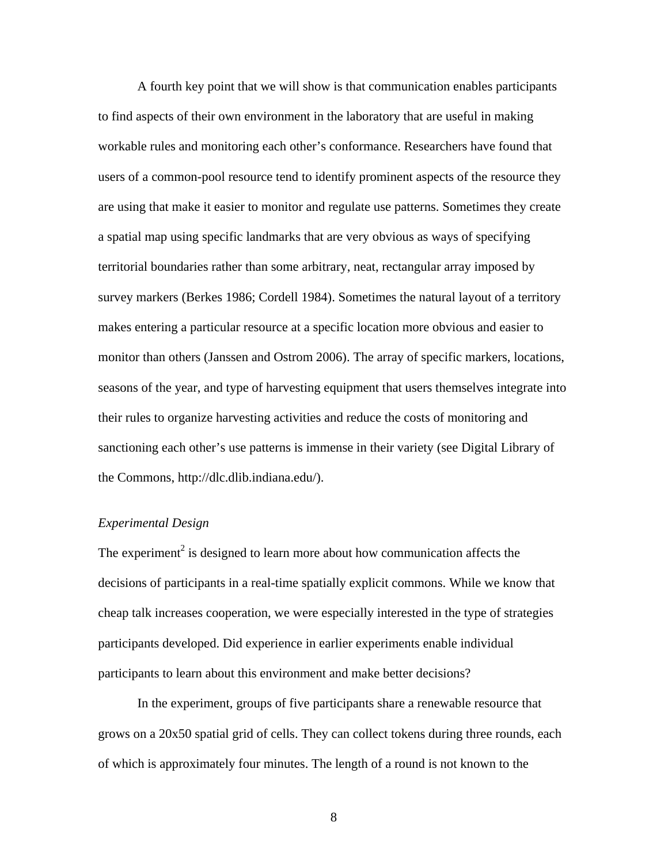A fourth key point that we will show is that communication enables participants to find aspects of their own environment in the laboratory that are useful in making workable rules and monitoring each other's conformance. Researchers have found that users of a common-pool resource tend to identify prominent aspects of the resource they are using that make it easier to monitor and regulate use patterns. Sometimes they create a spatial map using specific landmarks that are very obvious as ways of specifying territorial boundaries rather than some arbitrary, neat, rectangular array imposed by survey markers (Berkes 1986; Cordell 1984). Sometimes the natural layout of a territory makes entering a particular resource at a specific location more obvious and easier to monitor than others (Janssen and Ostrom 2006). The array of specific markers, locations, seasons of the year, and type of harvesting equipment that users themselves integrate into their rules to organize harvesting activities and reduce the costs of monitoring and sanctioning each other's use patterns is immense in their variety (see Digital Library of the Commons, http://dlc.dlib.indiana.edu/).

# *Experimental Design*

The experiment<sup>2</sup> is designed to learn more about how communication affects the decisions of participants in a real-time spatially explicit commons. While we know that cheap talk increases cooperation, we were especially interested in the type of strategies participants developed. Did experience in earlier experiments enable individual participants to learn about this environment and make better decisions?

 In the experiment, groups of five participants share a renewable resource that grows on a 20x50 spatial grid of cells. They can collect tokens during three rounds, each of which is approximately four minutes. The length of a round is not known to the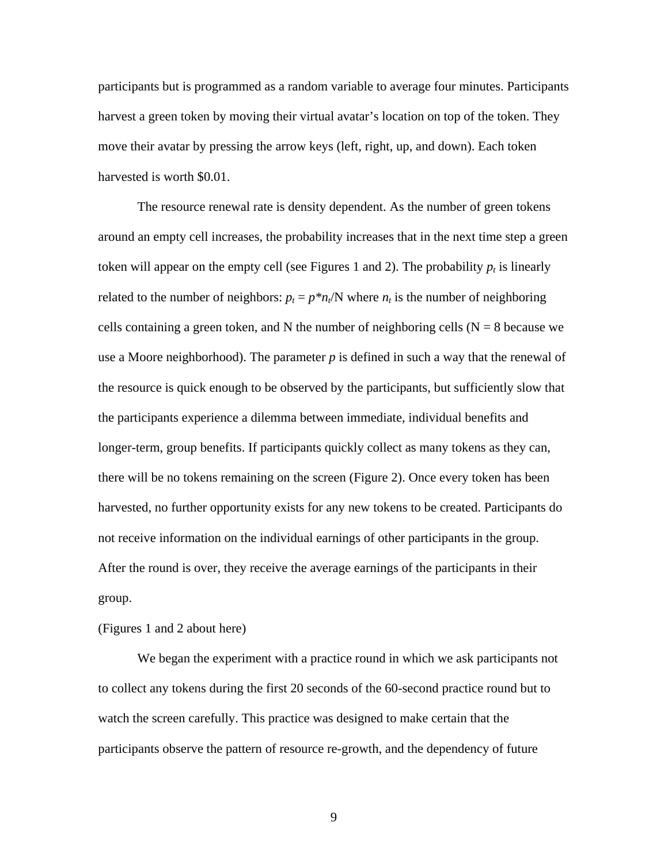participants but is programmed as a random variable to average four minutes. Participants harvest a green token by moving their virtual avatar's location on top of the token. They move their avatar by pressing the arrow keys (left, right, up, and down). Each token harvested is worth \$0.01.

The resource renewal rate is density dependent. As the number of green tokens around an empty cell increases, the probability increases that in the next time step a green token will appear on the empty cell (see Figures 1 and 2). The probability  $p_t$  is linearly related to the number of neighbors:  $p_t = p^*n_t/N$  where  $n_t$  is the number of neighboring cells containing a green token, and N the number of neighboring cells  $(N = 8)$  because we use a Moore neighborhood). The parameter *p* is defined in such a way that the renewal of the resource is quick enough to be observed by the participants, but sufficiently slow that the participants experience a dilemma between immediate, individual benefits and longer-term, group benefits. If participants quickly collect as many tokens as they can, there will be no tokens remaining on the screen (Figure 2). Once every token has been harvested, no further opportunity exists for any new tokens to be created. Participants do not receive information on the individual earnings of other participants in the group. After the round is over, they receive the average earnings of the participants in their group.

(Figures 1 and 2 about here)

We began the experiment with a practice round in which we ask participants not to collect any tokens during the first 20 seconds of the 60-second practice round but to watch the screen carefully. This practice was designed to make certain that the participants observe the pattern of resource re-growth, and the dependency of future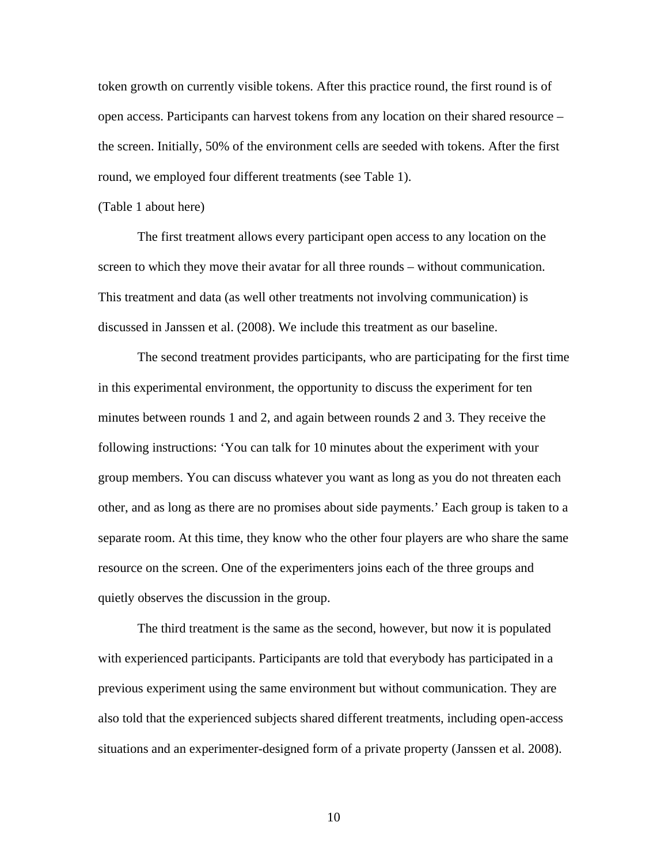token growth on currently visible tokens. After this practice round, the first round is of open access. Participants can harvest tokens from any location on their shared resource – the screen. Initially, 50% of the environment cells are seeded with tokens. After the first round, we employed four different treatments (see Table 1).

#### (Table 1 about here)

 The first treatment allows every participant open access to any location on the screen to which they move their avatar for all three rounds – without communication. This treatment and data (as well other treatments not involving communication) is discussed in Janssen et al. (2008). We include this treatment as our baseline.

The second treatment provides participants, who are participating for the first time in this experimental environment, the opportunity to discuss the experiment for ten minutes between rounds 1 and 2, and again between rounds 2 and 3. They receive the following instructions: 'You can talk for 10 minutes about the experiment with your group members. You can discuss whatever you want as long as you do not threaten each other, and as long as there are no promises about side payments.' Each group is taken to a separate room. At this time, they know who the other four players are who share the same resource on the screen. One of the experimenters joins each of the three groups and quietly observes the discussion in the group.

The third treatment is the same as the second, however, but now it is populated with experienced participants. Participants are told that everybody has participated in a previous experiment using the same environment but without communication. They are also told that the experienced subjects shared different treatments, including open-access situations and an experimenter-designed form of a private property (Janssen et al. 2008).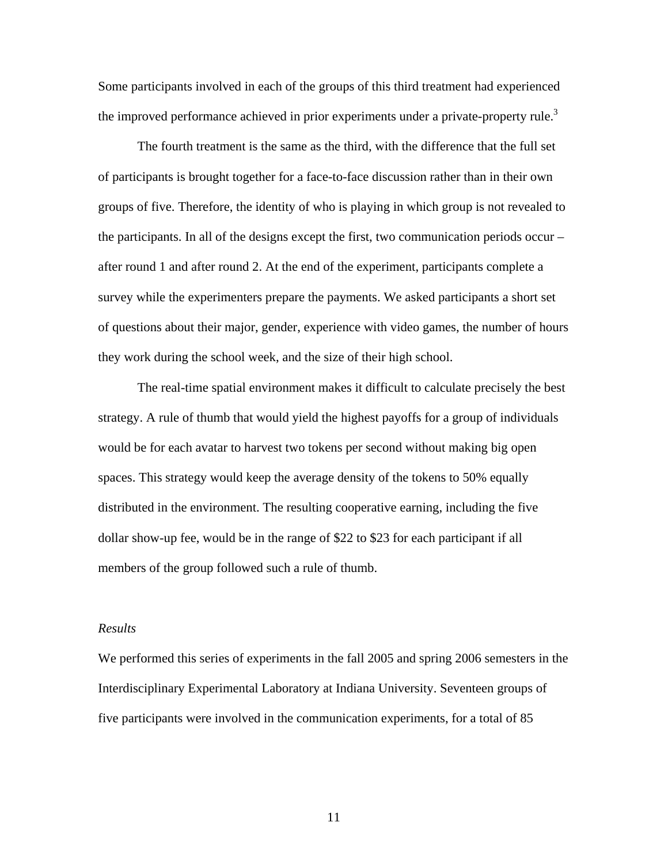Some participants involved in each of the groups of this third treatment had experienced the improved performance achieved in prior experiments under a private-property rule.<sup>3</sup>

 The fourth treatment is the same as the third, with the difference that the full set of participants is brought together for a face-to-face discussion rather than in their own groups of five. Therefore, the identity of who is playing in which group is not revealed to the participants. In all of the designs except the first, two communication periods occur – after round 1 and after round 2. At the end of the experiment, participants complete a survey while the experimenters prepare the payments. We asked participants a short set of questions about their major, gender, experience with video games, the number of hours they work during the school week, and the size of their high school.

 The real-time spatial environment makes it difficult to calculate precisely the best strategy. A rule of thumb that would yield the highest payoffs for a group of individuals would be for each avatar to harvest two tokens per second without making big open spaces. This strategy would keep the average density of the tokens to 50% equally distributed in the environment. The resulting cooperative earning, including the five dollar show-up fee, would be in the range of \$22 to \$23 for each participant if all members of the group followed such a rule of thumb.

#### *Results*

We performed this series of experiments in the fall 2005 and spring 2006 semesters in the Interdisciplinary Experimental Laboratory at Indiana University. Seventeen groups of five participants were involved in the communication experiments, for a total of 85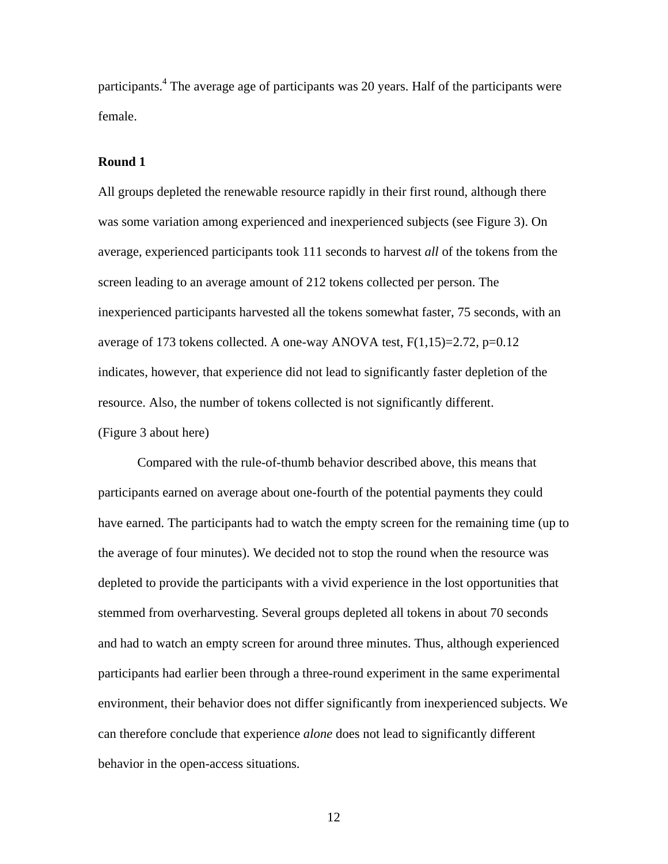participants.<sup>4</sup> The average age of participants was 20 years. Half of the participants were female.

# **Round 1**

All groups depleted the renewable resource rapidly in their first round, although there was some variation among experienced and inexperienced subjects (see Figure 3). On average, experienced participants took 111 seconds to harvest *all* of the tokens from the screen leading to an average amount of 212 tokens collected per person. The inexperienced participants harvested all the tokens somewhat faster, 75 seconds, with an average of 173 tokens collected. A one-way ANOVA test,  $F(1,15)=2.72$ ,  $p=0.12$ indicates, however, that experience did not lead to significantly faster depletion of the resource. Also, the number of tokens collected is not significantly different. (Figure 3 about here)

Compared with the rule-of-thumb behavior described above, this means that participants earned on average about one-fourth of the potential payments they could have earned. The participants had to watch the empty screen for the remaining time (up to the average of four minutes). We decided not to stop the round when the resource was depleted to provide the participants with a vivid experience in the lost opportunities that stemmed from overharvesting. Several groups depleted all tokens in about 70 seconds and had to watch an empty screen for around three minutes. Thus, although experienced participants had earlier been through a three-round experiment in the same experimental environment, their behavior does not differ significantly from inexperienced subjects. We can therefore conclude that experience *alone* does not lead to significantly different behavior in the open-access situations.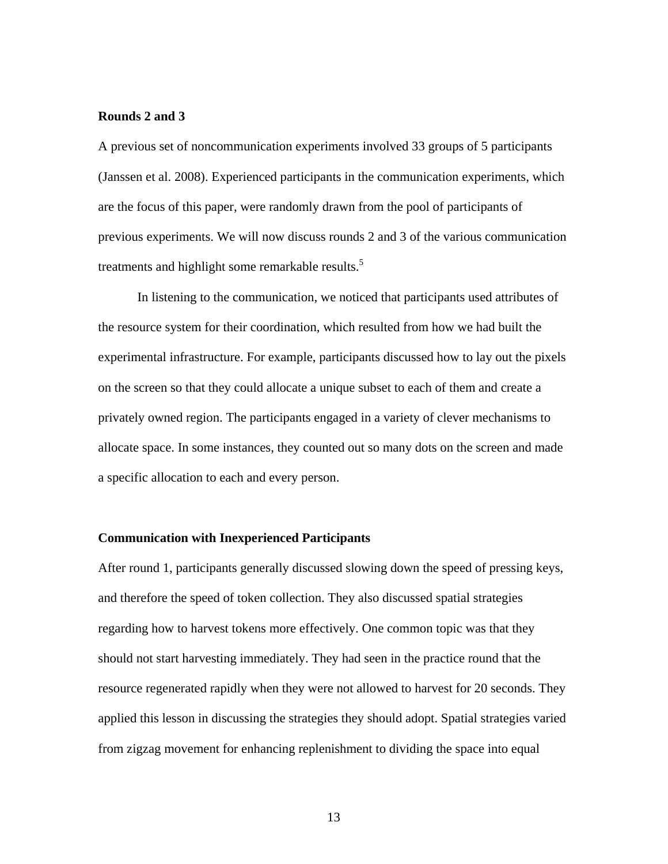### **Rounds 2 and 3**

A previous set of noncommunication experiments involved 33 groups of 5 participants (Janssen et al. 2008). Experienced participants in the communication experiments, which are the focus of this paper, were randomly drawn from the pool of participants of previous experiments. We will now discuss rounds 2 and 3 of the various communication treatments and highlight some remarkable results.<sup>5</sup>

 In listening to the communication, we noticed that participants used attributes of the resource system for their coordination, which resulted from how we had built the experimental infrastructure. For example, participants discussed how to lay out the pixels on the screen so that they could allocate a unique subset to each of them and create a privately owned region. The participants engaged in a variety of clever mechanisms to allocate space. In some instances, they counted out so many dots on the screen and made a specific allocation to each and every person.

# **Communication with Inexperienced Participants**

After round 1, participants generally discussed slowing down the speed of pressing keys, and therefore the speed of token collection. They also discussed spatial strategies regarding how to harvest tokens more effectively. One common topic was that they should not start harvesting immediately. They had seen in the practice round that the resource regenerated rapidly when they were not allowed to harvest for 20 seconds. They applied this lesson in discussing the strategies they should adopt. Spatial strategies varied from zigzag movement for enhancing replenishment to dividing the space into equal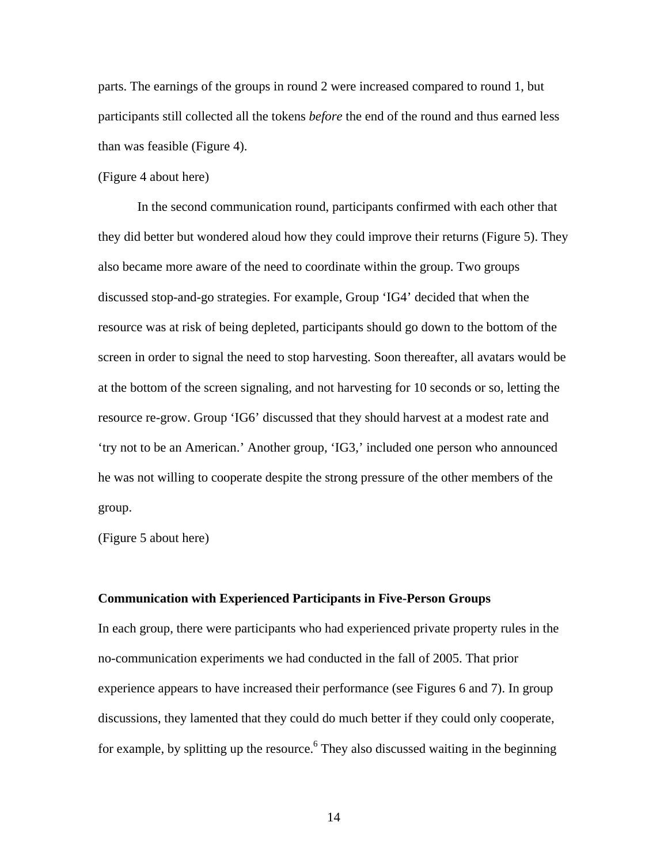parts. The earnings of the groups in round 2 were increased compared to round 1, but participants still collected all the tokens *before* the end of the round and thus earned less than was feasible (Figure 4).

### (Figure 4 about here)

 In the second communication round, participants confirmed with each other that they did better but wondered aloud how they could improve their returns (Figure 5). They also became more aware of the need to coordinate within the group. Two groups discussed stop-and-go strategies. For example, Group 'IG4' decided that when the resource was at risk of being depleted, participants should go down to the bottom of the screen in order to signal the need to stop harvesting. Soon thereafter, all avatars would be at the bottom of the screen signaling, and not harvesting for 10 seconds or so, letting the resource re-grow. Group 'IG6' discussed that they should harvest at a modest rate and 'try not to be an American.' Another group, 'IG3,' included one person who announced he was not willing to cooperate despite the strong pressure of the other members of the group.

(Figure 5 about here)

#### **Communication with Experienced Participants in Five-Person Groups**

In each group, there were participants who had experienced private property rules in the no-communication experiments we had conducted in the fall of 2005. That prior experience appears to have increased their performance (see Figures 6 and 7). In group discussions, they lamented that they could do much better if they could only cooperate, for example, by splitting up the resource.<sup>6</sup> They also discussed waiting in the beginning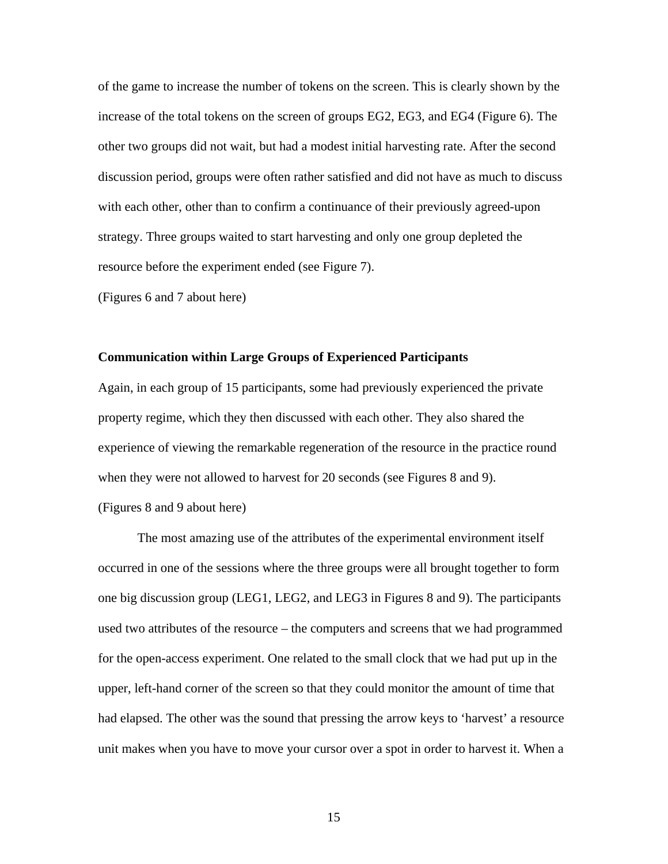of the game to increase the number of tokens on the screen. This is clearly shown by the increase of the total tokens on the screen of groups EG2, EG3, and EG4 (Figure 6). The other two groups did not wait, but had a modest initial harvesting rate. After the second discussion period, groups were often rather satisfied and did not have as much to discuss with each other, other than to confirm a continuance of their previously agreed-upon strategy. Three groups waited to start harvesting and only one group depleted the resource before the experiment ended (see Figure 7).

(Figures 6 and 7 about here)

#### **Communication within Large Groups of Experienced Participants**

Again, in each group of 15 participants, some had previously experienced the private property regime, which they then discussed with each other. They also shared the experience of viewing the remarkable regeneration of the resource in the practice round when they were not allowed to harvest for 20 seconds (see Figures 8 and 9).

(Figures 8 and 9 about here)

 The most amazing use of the attributes of the experimental environment itself occurred in one of the sessions where the three groups were all brought together to form one big discussion group (LEG1, LEG2, and LEG3 in Figures 8 and 9). The participants used two attributes of the resource – the computers and screens that we had programmed for the open-access experiment. One related to the small clock that we had put up in the upper, left-hand corner of the screen so that they could monitor the amount of time that had elapsed. The other was the sound that pressing the arrow keys to 'harvest' a resource unit makes when you have to move your cursor over a spot in order to harvest it. When a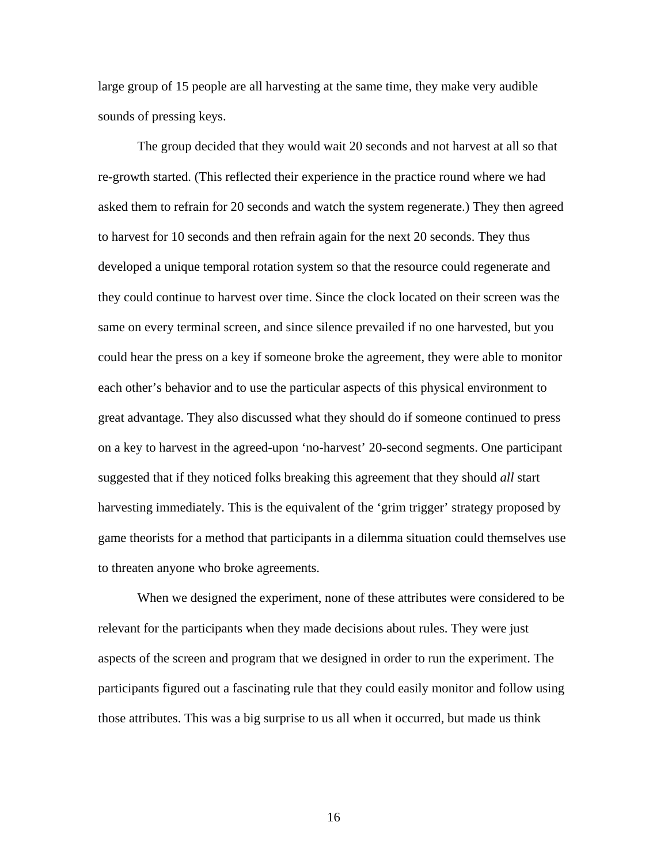large group of 15 people are all harvesting at the same time, they make very audible sounds of pressing keys.

 The group decided that they would wait 20 seconds and not harvest at all so that re-growth started. (This reflected their experience in the practice round where we had asked them to refrain for 20 seconds and watch the system regenerate.) They then agreed to harvest for 10 seconds and then refrain again for the next 20 seconds. They thus developed a unique temporal rotation system so that the resource could regenerate and they could continue to harvest over time. Since the clock located on their screen was the same on every terminal screen, and since silence prevailed if no one harvested, but you could hear the press on a key if someone broke the agreement, they were able to monitor each other's behavior and to use the particular aspects of this physical environment to great advantage. They also discussed what they should do if someone continued to press on a key to harvest in the agreed-upon 'no-harvest' 20-second segments. One participant suggested that if they noticed folks breaking this agreement that they should *all* start harvesting immediately. This is the equivalent of the 'grim trigger' strategy proposed by game theorists for a method that participants in a dilemma situation could themselves use to threaten anyone who broke agreements.

 When we designed the experiment, none of these attributes were considered to be relevant for the participants when they made decisions about rules. They were just aspects of the screen and program that we designed in order to run the experiment. The participants figured out a fascinating rule that they could easily monitor and follow using those attributes. This was a big surprise to us all when it occurred, but made us think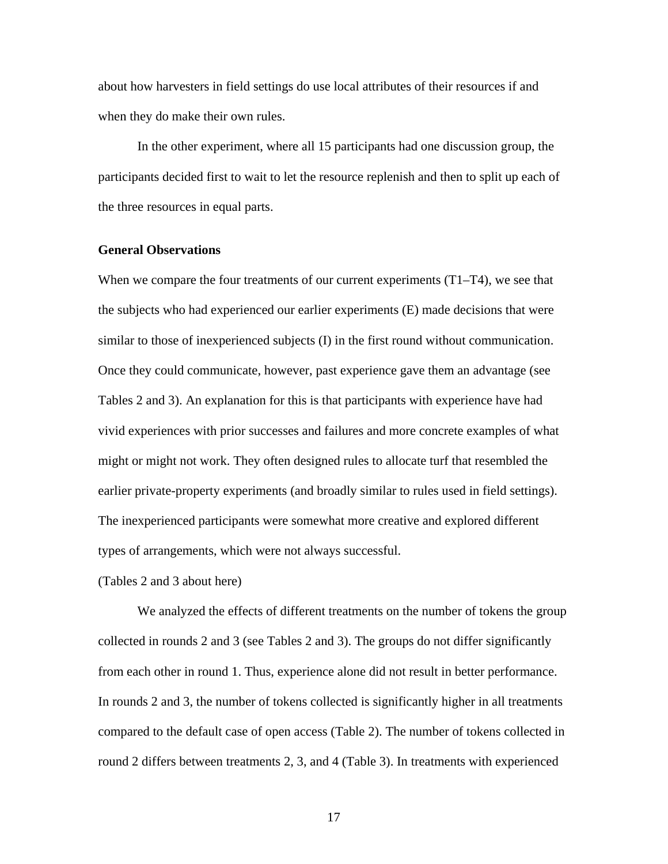about how harvesters in field settings do use local attributes of their resources if and when they do make their own rules.

 In the other experiment, where all 15 participants had one discussion group, the participants decided first to wait to let the resource replenish and then to split up each of the three resources in equal parts.

### **General Observations**

When we compare the four treatments of our current experiments (T1–T4), we see that the subjects who had experienced our earlier experiments (E) made decisions that were similar to those of inexperienced subjects (I) in the first round without communication. Once they could communicate, however, past experience gave them an advantage (see Tables 2 and 3). An explanation for this is that participants with experience have had vivid experiences with prior successes and failures and more concrete examples of what might or might not work. They often designed rules to allocate turf that resembled the earlier private-property experiments (and broadly similar to rules used in field settings). The inexperienced participants were somewhat more creative and explored different types of arrangements, which were not always successful.

(Tables 2 and 3 about here)

 We analyzed the effects of different treatments on the number of tokens the group collected in rounds 2 and 3 (see Tables 2 and 3). The groups do not differ significantly from each other in round 1. Thus, experience alone did not result in better performance. In rounds 2 and 3, the number of tokens collected is significantly higher in all treatments compared to the default case of open access (Table 2). The number of tokens collected in round 2 differs between treatments 2, 3, and 4 (Table 3). In treatments with experienced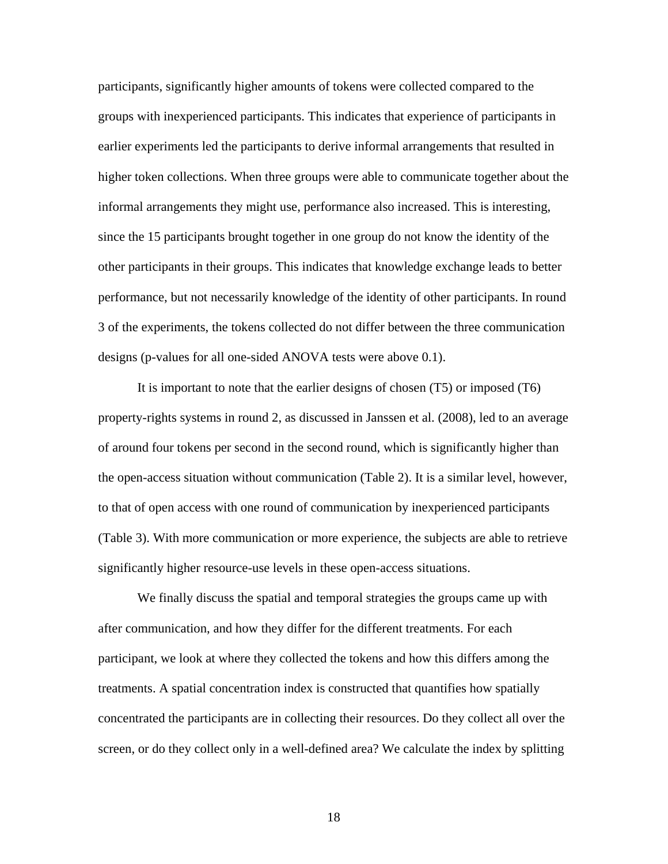participants, significantly higher amounts of tokens were collected compared to the groups with inexperienced participants. This indicates that experience of participants in earlier experiments led the participants to derive informal arrangements that resulted in higher token collections. When three groups were able to communicate together about the informal arrangements they might use, performance also increased. This is interesting, since the 15 participants brought together in one group do not know the identity of the other participants in their groups. This indicates that knowledge exchange leads to better performance, but not necessarily knowledge of the identity of other participants. In round 3 of the experiments, the tokens collected do not differ between the three communication designs (p-values for all one-sided ANOVA tests were above 0.1).

 It is important to note that the earlier designs of chosen (T5) or imposed (T6) property-rights systems in round 2, as discussed in Janssen et al. (2008), led to an average of around four tokens per second in the second round, which is significantly higher than the open-access situation without communication (Table 2). It is a similar level, however, to that of open access with one round of communication by inexperienced participants (Table 3). With more communication or more experience, the subjects are able to retrieve significantly higher resource-use levels in these open-access situations.

We finally discuss the spatial and temporal strategies the groups came up with after communication, and how they differ for the different treatments. For each participant, we look at where they collected the tokens and how this differs among the treatments. A spatial concentration index is constructed that quantifies how spatially concentrated the participants are in collecting their resources. Do they collect all over the screen, or do they collect only in a well-defined area? We calculate the index by splitting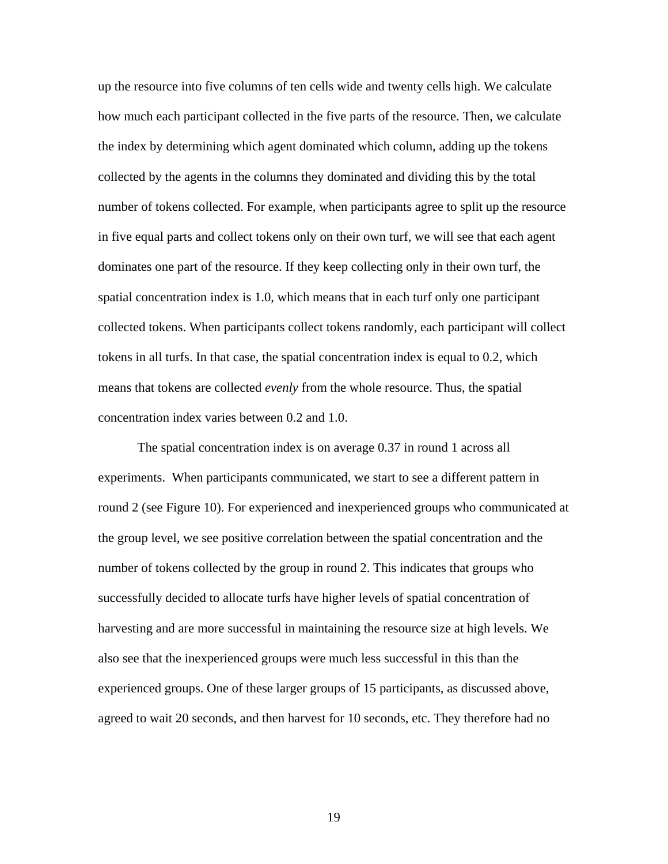up the resource into five columns of ten cells wide and twenty cells high. We calculate how much each participant collected in the five parts of the resource. Then, we calculate the index by determining which agent dominated which column, adding up the tokens collected by the agents in the columns they dominated and dividing this by the total number of tokens collected. For example, when participants agree to split up the resource in five equal parts and collect tokens only on their own turf, we will see that each agent dominates one part of the resource. If they keep collecting only in their own turf, the spatial concentration index is 1.0, which means that in each turf only one participant collected tokens. When participants collect tokens randomly, each participant will collect tokens in all turfs. In that case, the spatial concentration index is equal to 0.2, which means that tokens are collected *evenly* from the whole resource. Thus, the spatial concentration index varies between 0.2 and 1.0.

 The spatial concentration index is on average 0.37 in round 1 across all experiments. When participants communicated, we start to see a different pattern in round 2 (see Figure 10). For experienced and inexperienced groups who communicated at the group level, we see positive correlation between the spatial concentration and the number of tokens collected by the group in round 2. This indicates that groups who successfully decided to allocate turfs have higher levels of spatial concentration of harvesting and are more successful in maintaining the resource size at high levels. We also see that the inexperienced groups were much less successful in this than the experienced groups. One of these larger groups of 15 participants, as discussed above, agreed to wait 20 seconds, and then harvest for 10 seconds, etc. They therefore had no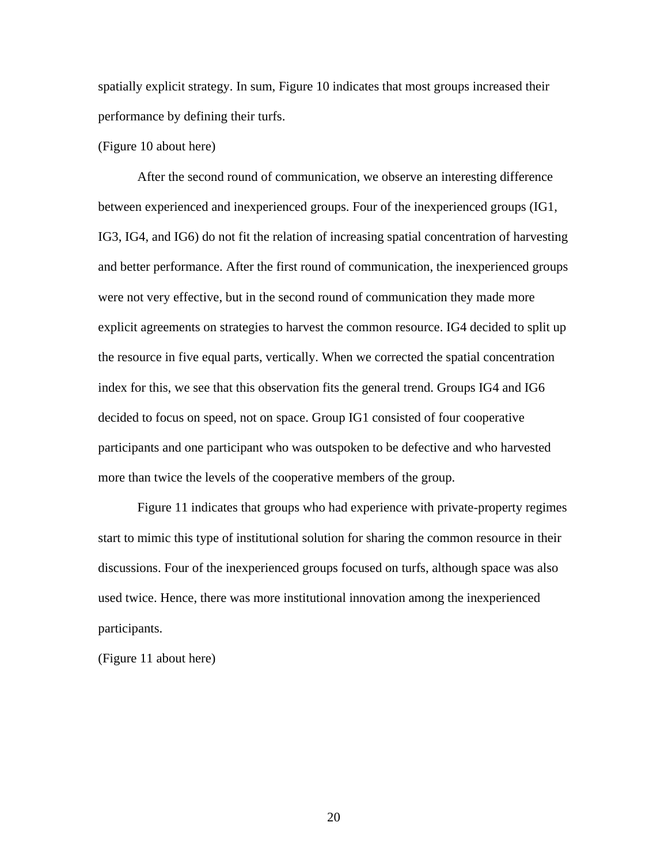spatially explicit strategy. In sum, Figure 10 indicates that most groups increased their performance by defining their turfs.

# (Figure 10 about here)

 After the second round of communication, we observe an interesting difference between experienced and inexperienced groups. Four of the inexperienced groups (IG1, IG3, IG4, and IG6) do not fit the relation of increasing spatial concentration of harvesting and better performance. After the first round of communication, the inexperienced groups were not very effective, but in the second round of communication they made more explicit agreements on strategies to harvest the common resource. IG4 decided to split up the resource in five equal parts, vertically. When we corrected the spatial concentration index for this, we see that this observation fits the general trend. Groups IG4 and IG6 decided to focus on speed, not on space. Group IG1 consisted of four cooperative participants and one participant who was outspoken to be defective and who harvested more than twice the levels of the cooperative members of the group.

 Figure 11 indicates that groups who had experience with private-property regimes start to mimic this type of institutional solution for sharing the common resource in their discussions. Four of the inexperienced groups focused on turfs, although space was also used twice. Hence, there was more institutional innovation among the inexperienced participants.

(Figure 11 about here)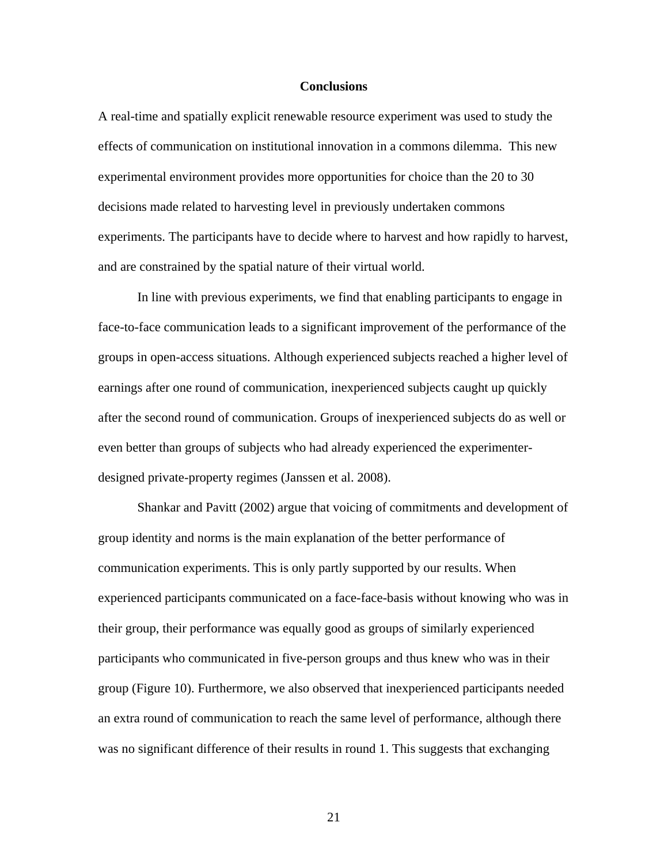#### **Conclusions**

A real-time and spatially explicit renewable resource experiment was used to study the effects of communication on institutional innovation in a commons dilemma. This new experimental environment provides more opportunities for choice than the 20 to 30 decisions made related to harvesting level in previously undertaken commons experiments. The participants have to decide where to harvest and how rapidly to harvest, and are constrained by the spatial nature of their virtual world.

 In line with previous experiments, we find that enabling participants to engage in face-to-face communication leads to a significant improvement of the performance of the groups in open-access situations. Although experienced subjects reached a higher level of earnings after one round of communication, inexperienced subjects caught up quickly after the second round of communication. Groups of inexperienced subjects do as well or even better than groups of subjects who had already experienced the experimenterdesigned private-property regimes (Janssen et al. 2008).

Shankar and Pavitt (2002) argue that voicing of commitments and development of group identity and norms is the main explanation of the better performance of communication experiments. This is only partly supported by our results. When experienced participants communicated on a face-face-basis without knowing who was in their group, their performance was equally good as groups of similarly experienced participants who communicated in five-person groups and thus knew who was in their group (Figure 10). Furthermore, we also observed that inexperienced participants needed an extra round of communication to reach the same level of performance, although there was no significant difference of their results in round 1. This suggests that exchanging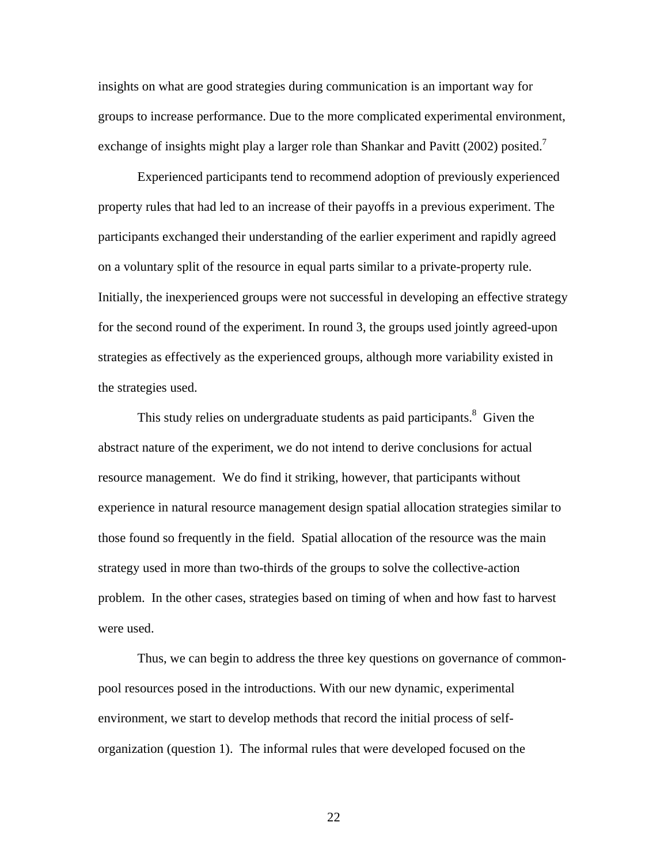insights on what are good strategies during communication is an important way for groups to increase performance. Due to the more complicated experimental environment, exchange of insights might play a larger role than Shankar and Pavitt (2002) posited.<sup>7</sup>

 Experienced participants tend to recommend adoption of previously experienced property rules that had led to an increase of their payoffs in a previous experiment. The participants exchanged their understanding of the earlier experiment and rapidly agreed on a voluntary split of the resource in equal parts similar to a private-property rule. Initially, the inexperienced groups were not successful in developing an effective strategy for the second round of the experiment. In round 3, the groups used jointly agreed-upon strategies as effectively as the experienced groups, although more variability existed in the strategies used.

This study relies on undergraduate students as paid participants.<sup>8</sup> Given the abstract nature of the experiment, we do not intend to derive conclusions for actual resource management. We do find it striking, however, that participants without experience in natural resource management design spatial allocation strategies similar to those found so frequently in the field. Spatial allocation of the resource was the main strategy used in more than two-thirds of the groups to solve the collective-action problem. In the other cases, strategies based on timing of when and how fast to harvest were used.

 Thus, we can begin to address the three key questions on governance of commonpool resources posed in the introductions. With our new dynamic, experimental environment, we start to develop methods that record the initial process of selforganization (question 1). The informal rules that were developed focused on the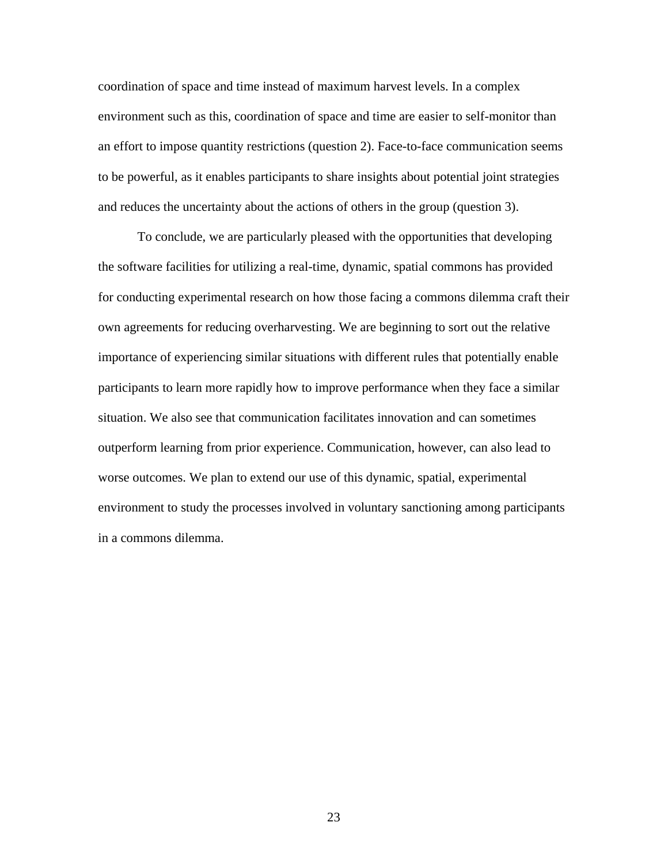coordination of space and time instead of maximum harvest levels. In a complex environment such as this, coordination of space and time are easier to self-monitor than an effort to impose quantity restrictions (question 2). Face-to-face communication seems to be powerful, as it enables participants to share insights about potential joint strategies and reduces the uncertainty about the actions of others in the group (question 3).

 To conclude, we are particularly pleased with the opportunities that developing the software facilities for utilizing a real-time, dynamic, spatial commons has provided for conducting experimental research on how those facing a commons dilemma craft their own agreements for reducing overharvesting. We are beginning to sort out the relative importance of experiencing similar situations with different rules that potentially enable participants to learn more rapidly how to improve performance when they face a similar situation. We also see that communication facilitates innovation and can sometimes outperform learning from prior experience. Communication, however, can also lead to worse outcomes. We plan to extend our use of this dynamic, spatial, experimental environment to study the processes involved in voluntary sanctioning among participants in a commons dilemma.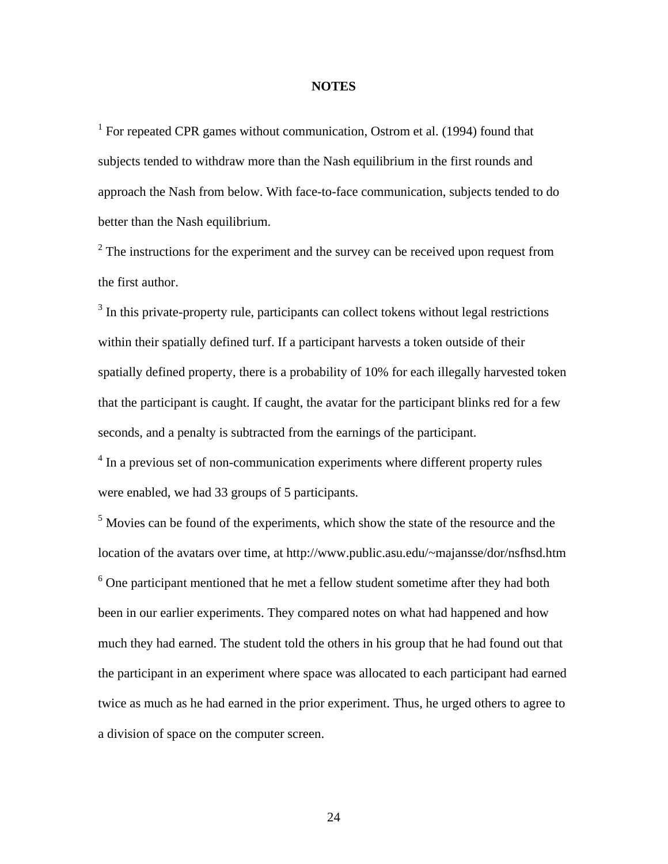# **NOTES**

<sup>1</sup> For repeated CPR games without communication, Ostrom et al. (1994) found that subjects tended to withdraw more than the Nash equilibrium in the first rounds and approach the Nash from below. With face-to-face communication, subjects tended to do better than the Nash equilibrium.

 $2^2$  The instructions for the experiment and the survey can be received upon request from the first author.

<sup>3</sup> In this private-property rule, participants can collect tokens without legal restrictions within their spatially defined turf. If a participant harvests a token outside of their spatially defined property, there is a probability of 10% for each illegally harvested token that the participant is caught. If caught, the avatar for the participant blinks red for a few seconds, and a penalty is subtracted from the earnings of the participant.

<sup>4</sup> In a previous set of non-communication experiments where different property rules were enabled, we had 33 groups of 5 participants.

<sup>5</sup> Movies can be found of the experiments, which show the state of the resource and the location of the avatars over time, at http://www.public.asu.edu/~majansse/dor/nsfhsd.htm  $6$  One participant mentioned that he met a fellow student sometime after they had both been in our earlier experiments. They compared notes on what had happened and how much they had earned. The student told the others in his group that he had found out that the participant in an experiment where space was allocated to each participant had earned twice as much as he had earned in the prior experiment. Thus, he urged others to agree to a division of space on the computer screen.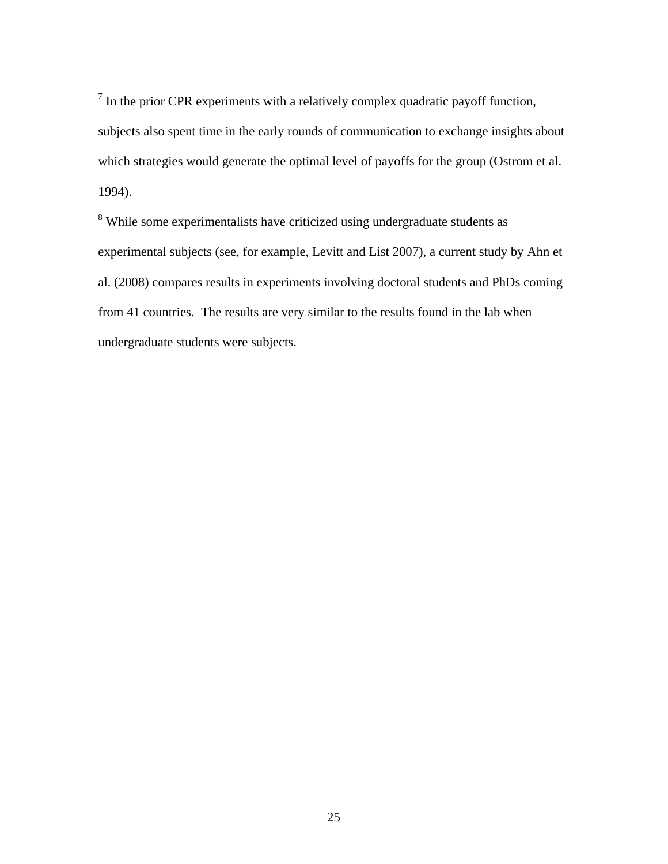$<sup>7</sup>$  In the prior CPR experiments with a relatively complex quadratic payoff function,</sup> subjects also spent time in the early rounds of communication to exchange insights about which strategies would generate the optimal level of payoffs for the group (Ostrom et al. 1994).

<sup>8</sup> While some experimentalists have criticized using undergraduate students as experimental subjects (see, for example, Levitt and List 2007), a current study by Ahn et al. (2008) compares results in experiments involving doctoral students and PhDs coming from 41 countries. The results are very similar to the results found in the lab when undergraduate students were subjects.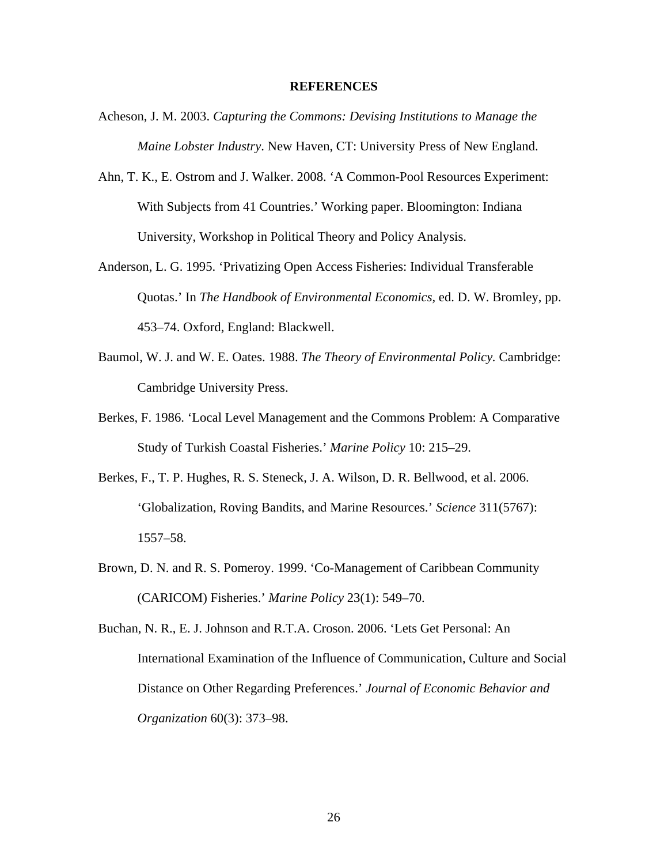#### **REFERENCES**

- Acheson, J. M. 2003. *Capturing the Commons: Devising Institutions to Manage the Maine Lobster Industry*. New Haven, CT: University Press of New England.
- Ahn, T. K., E. Ostrom and J. Walker. 2008. 'A Common-Pool Resources Experiment: With Subjects from 41 Countries.' Working paper. Bloomington: Indiana University, Workshop in Political Theory and Policy Analysis.
- Anderson, L. G. 1995. 'Privatizing Open Access Fisheries: Individual Transferable Quotas.' In *The Handbook of Environmental Economics,* ed. D. W. Bromley, pp. 453–74. Oxford, England: Blackwell.
- Baumol, W. J. and W. E. Oates. 1988. *The Theory of Environmental Policy.* Cambridge: Cambridge University Press.
- Berkes, F. 1986. 'Local Level Management and the Commons Problem: A Comparative Study of Turkish Coastal Fisheries.' *Marine Policy* 10: 215–29.
- Berkes, F., T. P. Hughes, R. S. Steneck, J. A. Wilson, D. R. Bellwood, et al. 2006. 'Globalization, Roving Bandits, and Marine Resources.' *Science* 311(5767): 1557–58.
- Brown, D. N. and R. S. Pomeroy. 1999. 'Co-Management of Caribbean Community (CARICOM) Fisheries.' *Marine Policy* 23(1): 549–70.

Buchan, N. R., E. J. Johnson and R.T.A. Croson. 2006. 'Lets Get Personal: An International Examination of the Influence of Communication, Culture and Social Distance on Other Regarding Preferences.' *Journal of Economic Behavior and Organization* 60(3): 373–98.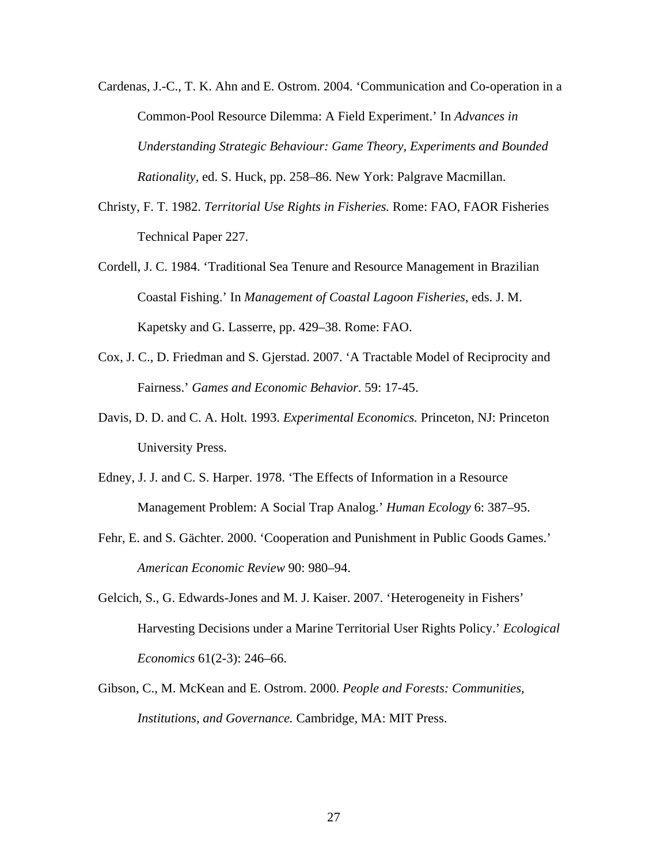- Cardenas, J.-C., T. K. Ahn and E. Ostrom. 2004. 'Communication and Co-operation in a Common-Pool Resource Dilemma: A Field Experiment.' In *Advances in Understanding Strategic Behaviour: Game Theory, Experiments and Bounded Rationality,* ed. S. Huck, pp. 258–86. New York: Palgrave Macmillan.
- Christy, F. T. 1982. *Territorial Use Rights in Fisheries.* Rome: FAO, FAOR Fisheries Technical Paper 227.
- Cordell, J. C. 1984. 'Traditional Sea Tenure and Resource Management in Brazilian Coastal Fishing.' In *Management of Coastal Lagoon Fisheries,* eds. J. M. Kapetsky and G. Lasserre, pp. 429–38. Rome: FAO.
- Cox, J. C., D. Friedman and S. Gjerstad. 2007. 'A Tractable Model of Reciprocity and Fairness.' *Games and Economic Behavior*. 59: 17-45.
- Davis, D. D. and C. A. Holt. 1993. *Experimental Economics.* Princeton, NJ: Princeton University Press.
- Edney, J. J. and C. S. Harper. 1978. 'The Effects of Information in a Resource Management Problem: A Social Trap Analog.' *Human Ecology* 6: 387–95.
- Fehr, E. and S. Gächter. 2000. 'Cooperation and Punishment in Public Goods Games.' *American Economic Review* 90: 980–94.
- Gelcich, S., G. Edwards-Jones and M. J. Kaiser. 2007. 'Heterogeneity in Fishers' Harvesting Decisions under a Marine Territorial User Rights Policy.' *Ecological Economics* 61(2-3): 246–66.
- Gibson, C., M. McKean and E. Ostrom. 2000. *People and Forests: Communities, Institutions, and Governance.* Cambridge, MA: MIT Press.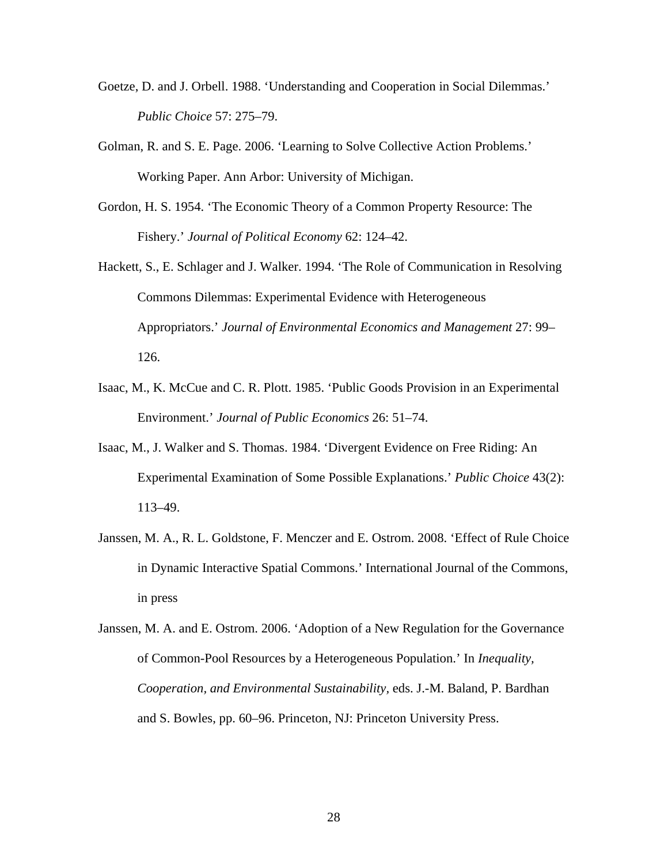- Goetze, D. and J. Orbell. 1988. 'Understanding and Cooperation in Social Dilemmas.' *Public Choice* 57: 275–79.
- Golman, R. and S. E. Page. 2006. 'Learning to Solve Collective Action Problems.' Working Paper. Ann Arbor: University of Michigan.
- Gordon, H. S. 1954. 'The Economic Theory of a Common Property Resource: The Fishery.' *Journal of Political Economy* 62: 124–42.
- Hackett, S., E. Schlager and J. Walker. 1994. 'The Role of Communication in Resolving Commons Dilemmas: Experimental Evidence with Heterogeneous Appropriators.' *Journal of Environmental Economics and Management* 27: 99– 126.
- Isaac, M., K. McCue and C. R. Plott. 1985. 'Public Goods Provision in an Experimental Environment.' *Journal of Public Economics* 26: 51–74.
- Isaac, M., J. Walker and S. Thomas. 1984. 'Divergent Evidence on Free Riding: An Experimental Examination of Some Possible Explanations.' *Public Choice* 43(2): 113–49.
- Janssen, M. A., R. L. Goldstone, F. Menczer and E. Ostrom. 2008. 'Effect of Rule Choice in Dynamic Interactive Spatial Commons.' International Journal of the Commons, in press
- Janssen, M. A. and E. Ostrom. 2006. 'Adoption of a New Regulation for the Governance of Common-Pool Resources by a Heterogeneous Population.' In *Inequality, Cooperation, and Environmental Sustainability,* eds. J.-M. Baland, P. Bardhan and S. Bowles, pp. 60–96. Princeton, NJ: Princeton University Press.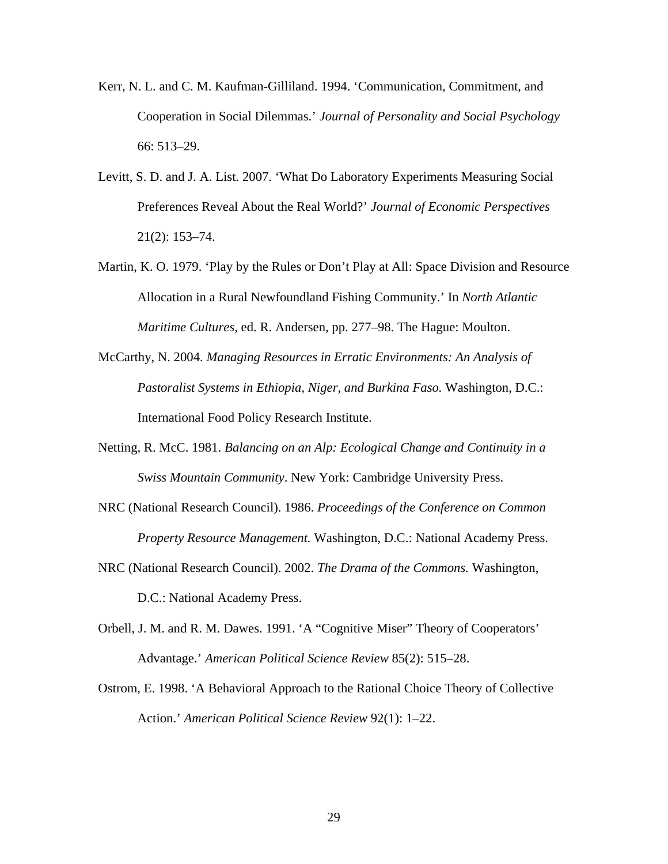- Kerr, N. L. and C. M. Kaufman-Gilliland. 1994. 'Communication, Commitment, and Cooperation in Social Dilemmas.' *Journal of Personality and Social Psychology*  66: 513–29.
- Levitt, S. D. and J. A. List. 2007. 'What Do Laboratory Experiments Measuring Social Preferences Reveal About the Real World?' *Journal of Economic Perspectives* 21(2): 153–74.
- Martin, K. O. 1979. 'Play by the Rules or Don't Play at All: Space Division and Resource Allocation in a Rural Newfoundland Fishing Community.' In *North Atlantic Maritime Cultures,* ed. R. Andersen, pp. 277–98. The Hague: Moulton.
- McCarthy, N. 2004. *Managing Resources in Erratic Environments: An Analysis of Pastoralist Systems in Ethiopia, Niger, and Burkina Faso.* Washington, D.C.: International Food Policy Research Institute.
- Netting, R. McC. 1981. *Balancing on an Alp: Ecological Change and Continuity in a Swiss Mountain Community*. New York: Cambridge University Press.
- NRC (National Research Council). 1986. *Proceedings of the Conference on Common Property Resource Management.* Washington, D.C.: National Academy Press.
- NRC (National Research Council). 2002. *The Drama of the Commons.* Washington, D.C.: National Academy Press.
- Orbell, J. M. and R. M. Dawes. 1991. 'A "Cognitive Miser" Theory of Cooperators' Advantage.' *American Political Science Review* 85(2): 515–28.
- Ostrom, E. 1998. 'A Behavioral Approach to the Rational Choice Theory of Collective Action.' *American Political Science Review* 92(1): 1–22.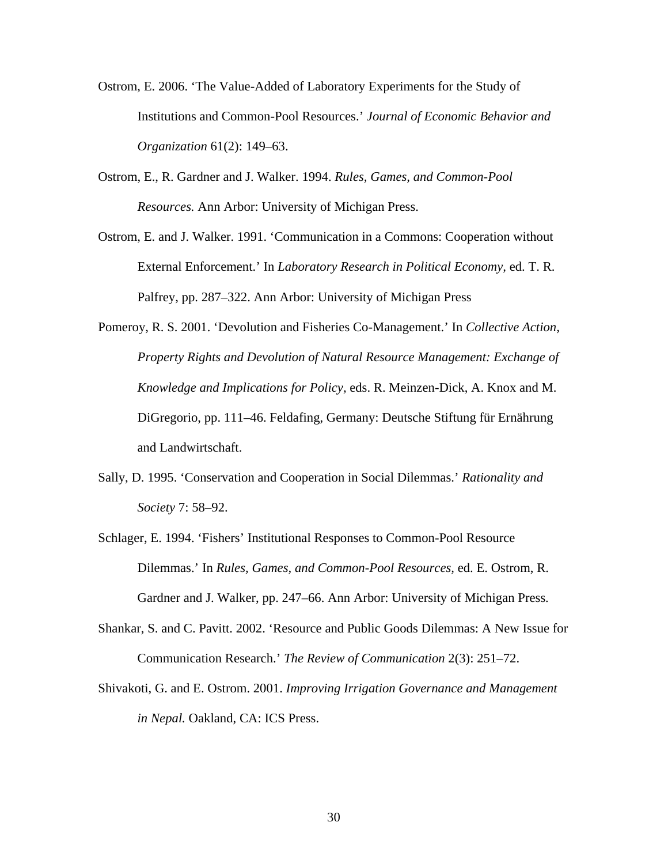- Ostrom, E. 2006. 'The Value-Added of Laboratory Experiments for the Study of Institutions and Common-Pool Resources.' *Journal of Economic Behavior and Organization* 61(2): 149–63.
- Ostrom, E., R. Gardner and J. Walker. 1994. *Rules, Games, and Common-Pool Resources.* Ann Arbor: University of Michigan Press.
- Ostrom, E. and J. Walker. 1991. 'Communication in a Commons: Cooperation without External Enforcement.' In *Laboratory Research in Political Economy,* ed. T. R. Palfrey, pp. 287–322. Ann Arbor: University of Michigan Press
- Pomeroy, R. S. 2001. 'Devolution and Fisheries Co-Management.' In *Collective Action, Property Rights and Devolution of Natural Resource Management: Exchange of Knowledge and Implications for Policy,* eds. R. Meinzen-Dick, A. Knox and M. DiGregorio, pp. 111–46. Feldafing, Germany: Deutsche Stiftung für Ernährung and Landwirtschaft.
- Sally, D. 1995. 'Conservation and Cooperation in Social Dilemmas.' *Rationality and Society* 7: 58–92.
- Schlager, E. 1994. 'Fishers' Institutional Responses to Common-Pool Resource Dilemmas.' In *Rules, Games, and Common-Pool Resources,* ed. E. Ostrom, R. Gardner and J. Walker, pp. 247–66. Ann Arbor: University of Michigan Press*.*
- Shankar, S. and C. Pavitt. 2002. 'Resource and Public Goods Dilemmas: A New Issue for Communication Research.' *The Review of Communication* 2(3): 251–72.
- Shivakoti, G. and E. Ostrom. 2001. *Improving Irrigation Governance and Management in Nepal.* Oakland, CA: ICS Press.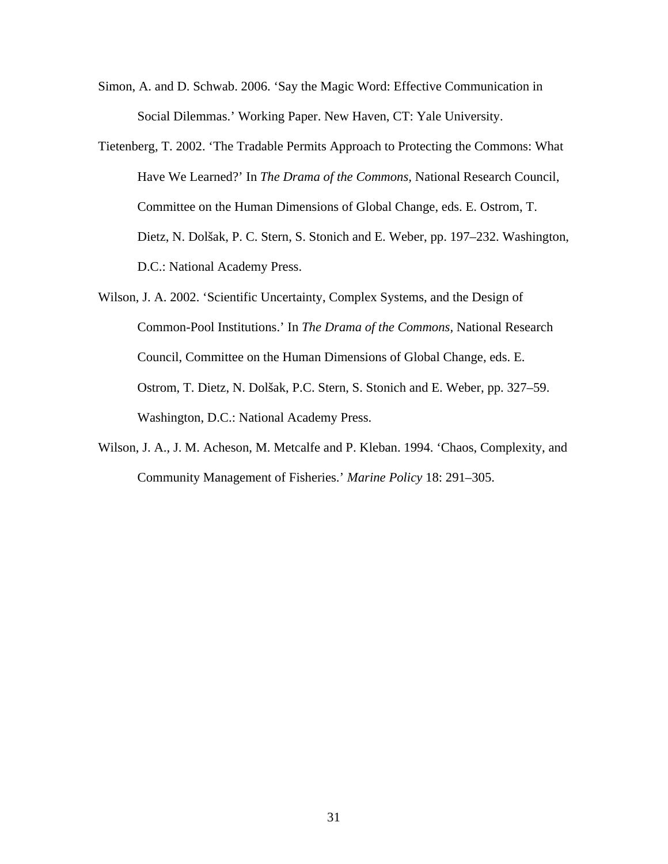- Simon, A. and D. Schwab. 2006. 'Say the Magic Word: Effective Communication in Social Dilemmas.' Working Paper. New Haven, CT: Yale University.
- Tietenberg, T. 2002. 'The Tradable Permits Approach to Protecting the Commons: What Have We Learned?' In *The Drama of the Commons,* National Research Council, Committee on the Human Dimensions of Global Change, eds. E. Ostrom, T. Dietz, N. Dolšak, P. C. Stern, S. Stonich and E. Weber, pp. 197–232. Washington, D.C.: National Academy Press.
- Wilson, J. A. 2002. 'Scientific Uncertainty, Complex Systems, and the Design of Common-Pool Institutions.' In *The Drama of the Commons,* National Research Council, Committee on the Human Dimensions of Global Change, eds. E. Ostrom, T. Dietz, N. Dolšak, P.C. Stern, S. Stonich and E. Weber, pp. 327–59. Washington, D.C.: National Academy Press.
- Wilson, J. A., J. M. Acheson, M. Metcalfe and P. Kleban. 1994. 'Chaos, Complexity, and Community Management of Fisheries.' *Marine Policy* 18: 291–305.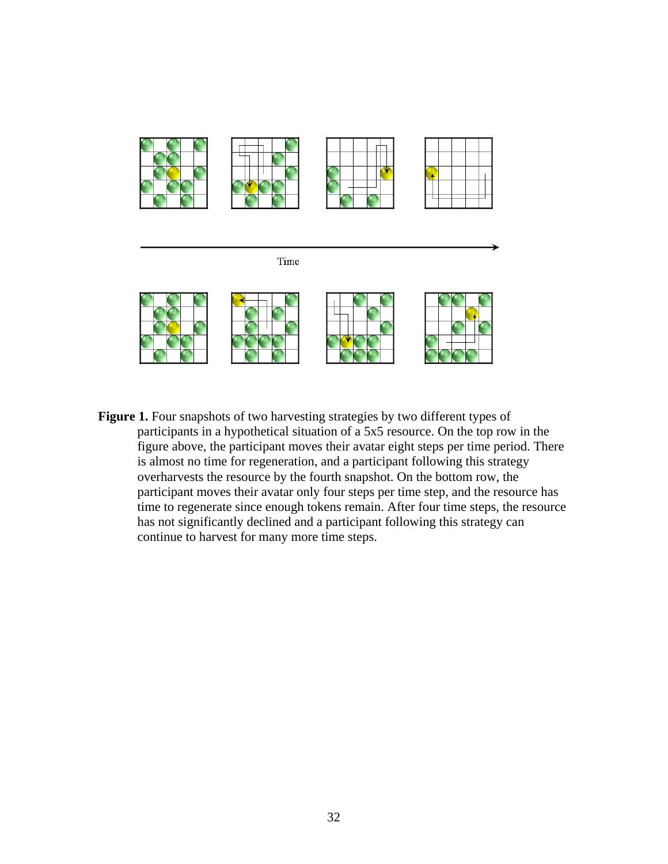

Figure 1. Four snapshots of two harvesting strategies by two different types of participants in a hypothetical situation of a 5x5 resource. On the top row in the figure above, the participant moves their avatar eight steps per time period. There is almost no time for regeneration, and a participant following this strategy overharvests the resource by the fourth snapshot. On the bottom row, the participant moves their avatar only four steps per time step, and the resource has time to regenerate since enough tokens remain. After four time steps, the resource has not significantly declined and a participant following this strategy can continue to harvest for many more time steps.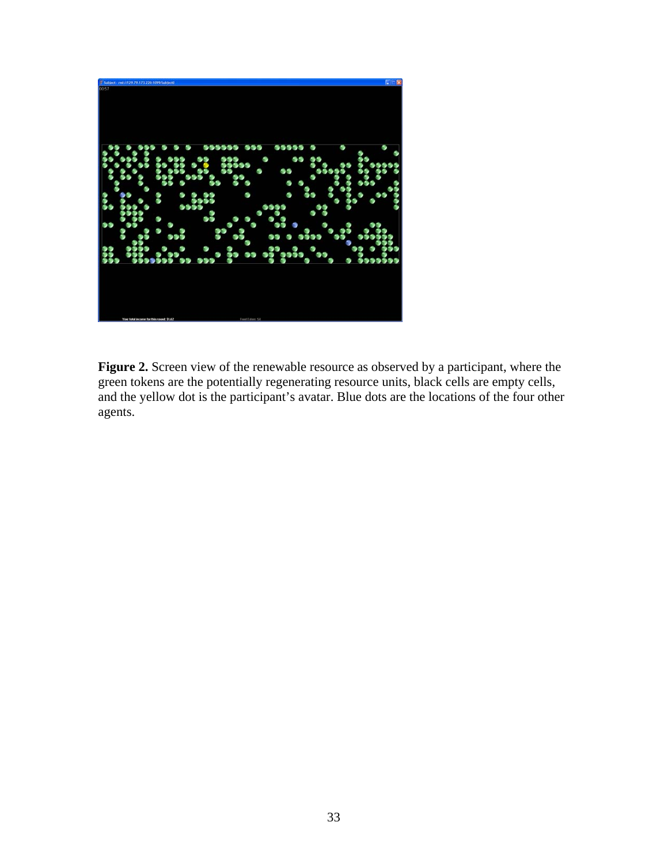

**Figure 2.** Screen view of the renewable resource as observed by a participant, where the green tokens are the potentially regenerating resource units, black cells are empty cells, and the yellow dot is the participant's avatar. Blue dots are the locations of the four other agents.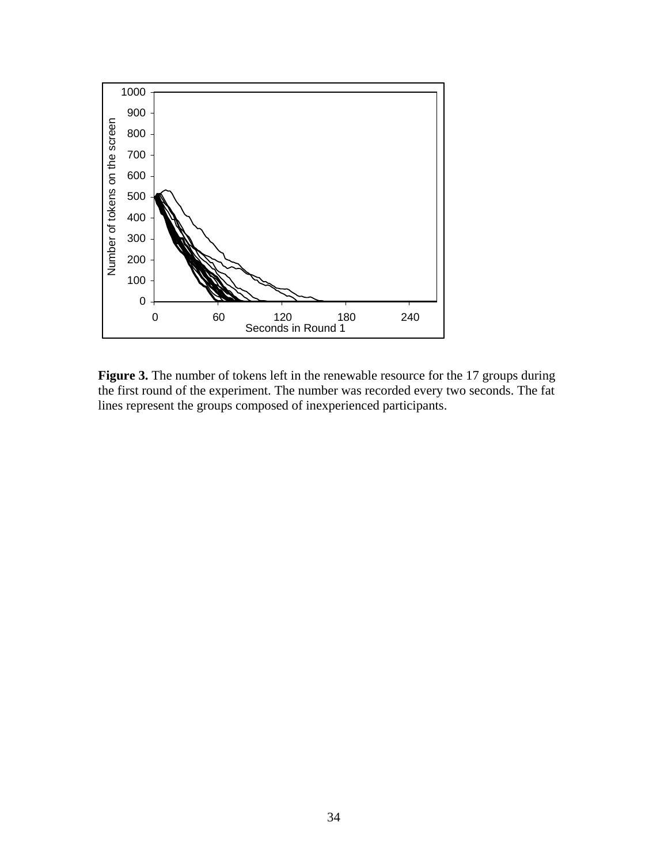

Figure 3. The number of tokens left in the renewable resource for the 17 groups during the first round of the experiment. The number was recorded every two seconds. The fat lines represent the groups composed of inexperienced participants.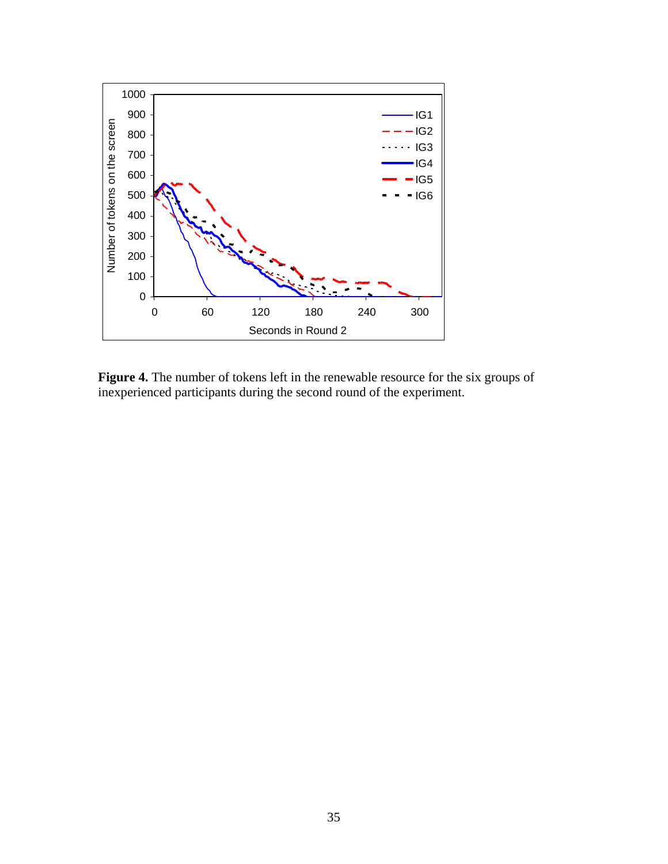

**Figure 4.** The number of tokens left in the renewable resource for the six groups of inexperienced participants during the second round of the experiment.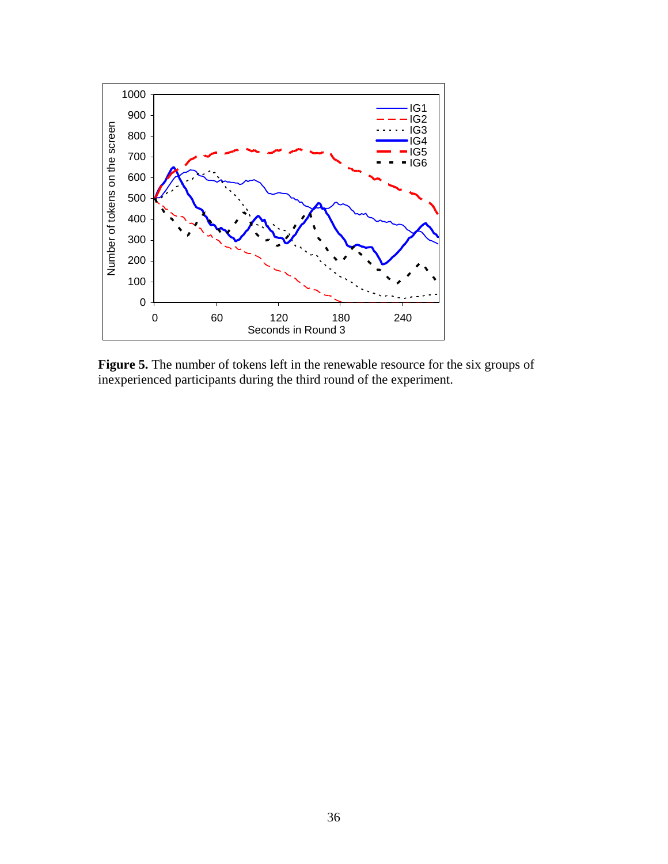

**Figure 5.** The number of tokens left in the renewable resource for the six groups of inexperienced participants during the third round of the experiment.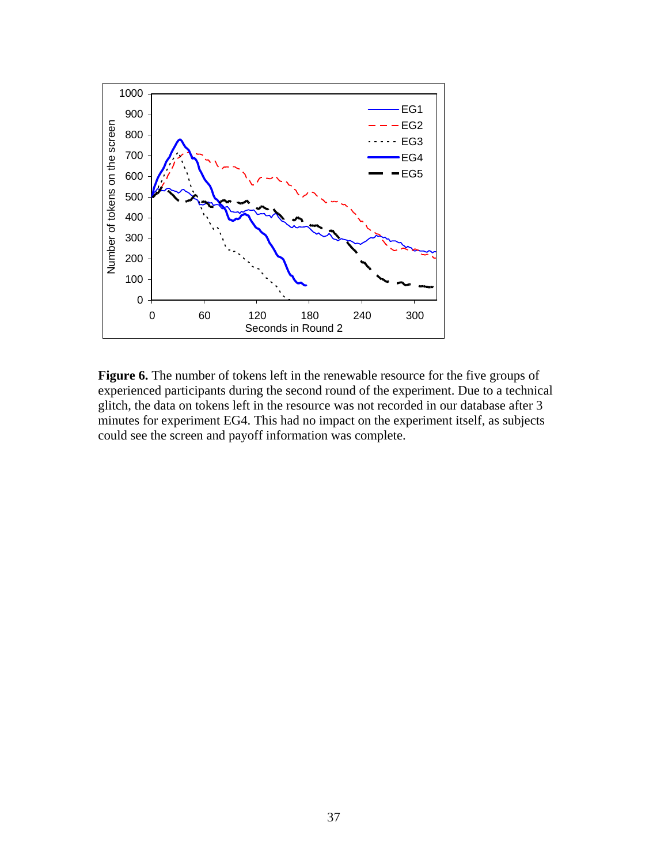

**Figure 6.** The number of tokens left in the renewable resource for the five groups of experienced participants during the second round of the experiment. Due to a technical glitch, the data on tokens left in the resource was not recorded in our database after 3 minutes for experiment EG4. This had no impact on the experiment itself, as subjects could see the screen and payoff information was complete.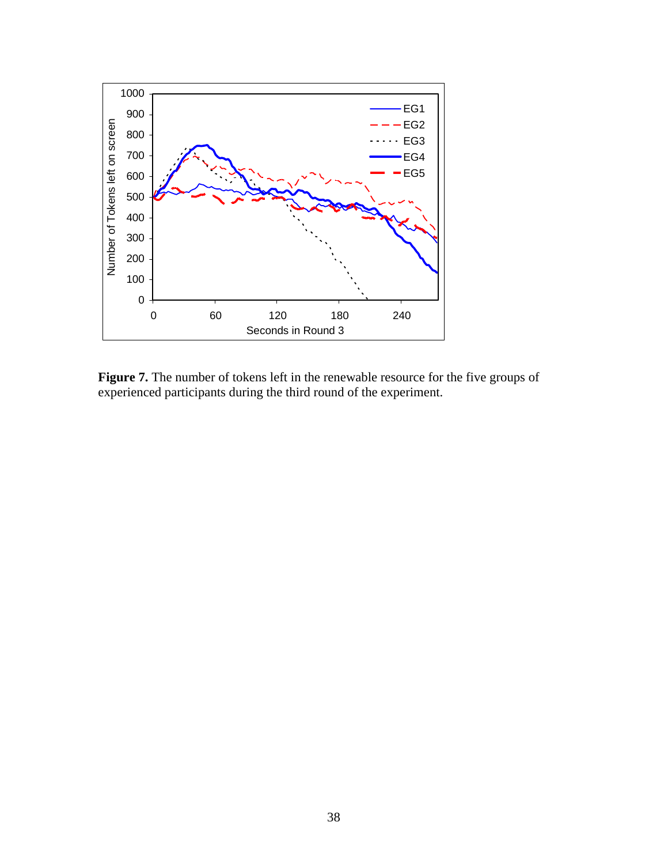

**Figure 7.** The number of tokens left in the renewable resource for the five groups of experienced participants during the third round of the experiment.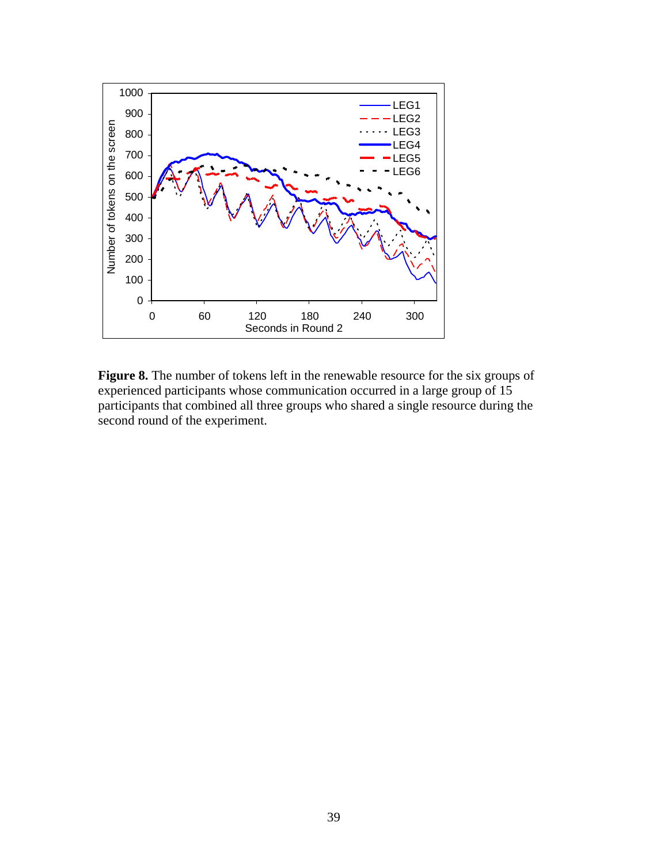

**Figure 8.** The number of tokens left in the renewable resource for the six groups of experienced participants whose communication occurred in a large group of 15 participants that combined all three groups who shared a single resource during the second round of the experiment.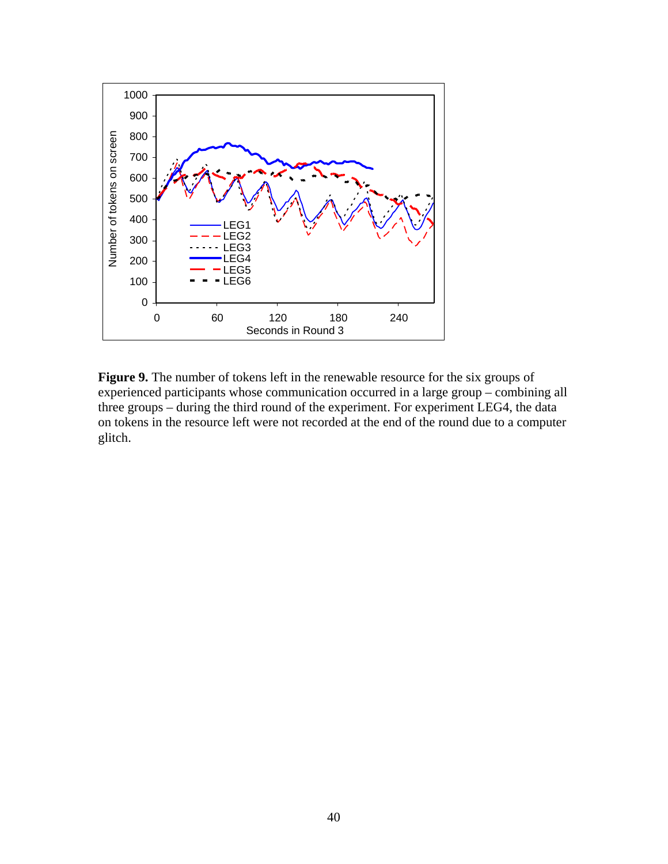

**Figure 9.** The number of tokens left in the renewable resource for the six groups of experienced participants whose communication occurred in a large group – combining all three groups – during the third round of the experiment. For experiment LEG4, the data on tokens in the resource left were not recorded at the end of the round due to a computer glitch.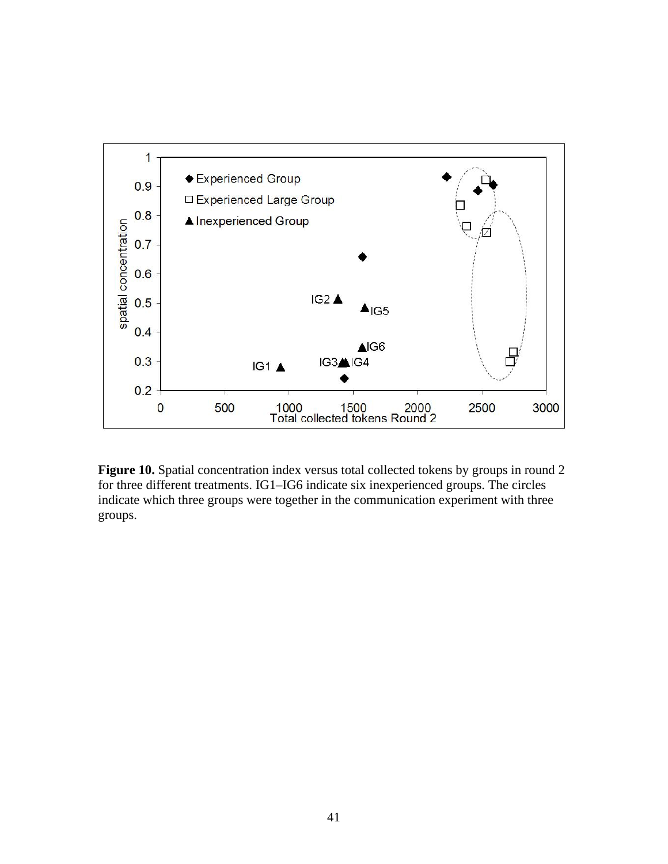

Figure 10. Spatial concentration index versus total collected tokens by groups in round 2 for three different treatments. IG1–IG6 indicate six inexperienced groups. The circles indicate which three groups were together in the communication experiment with three groups.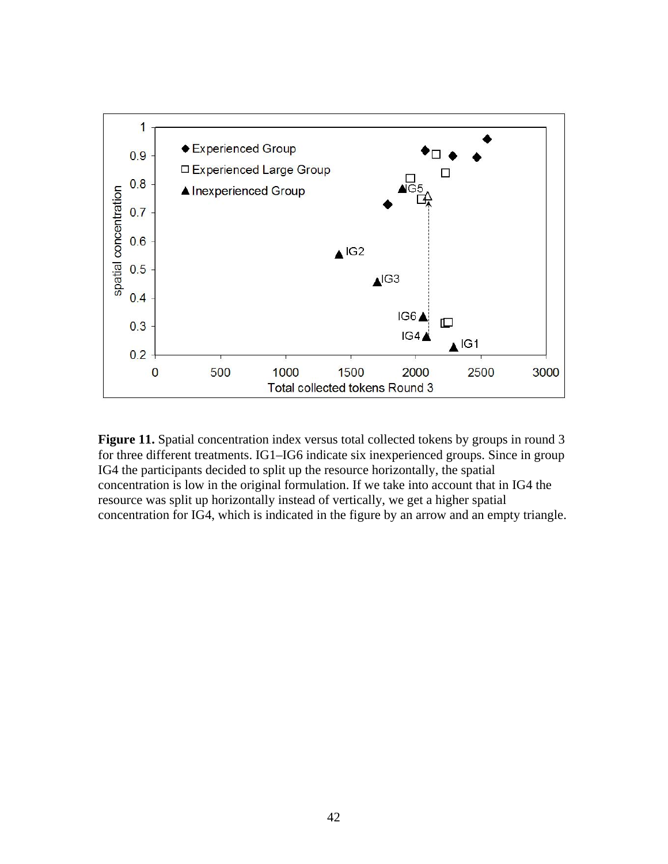

Figure 11. Spatial concentration index versus total collected tokens by groups in round 3 for three different treatments. IG1–IG6 indicate six inexperienced groups. Since in group IG4 the participants decided to split up the resource horizontally, the spatial concentration is low in the original formulation. If we take into account that in IG4 the resource was split up horizontally instead of vertically, we get a higher spatial concentration for IG4, which is indicated in the figure by an arrow and an empty triangle.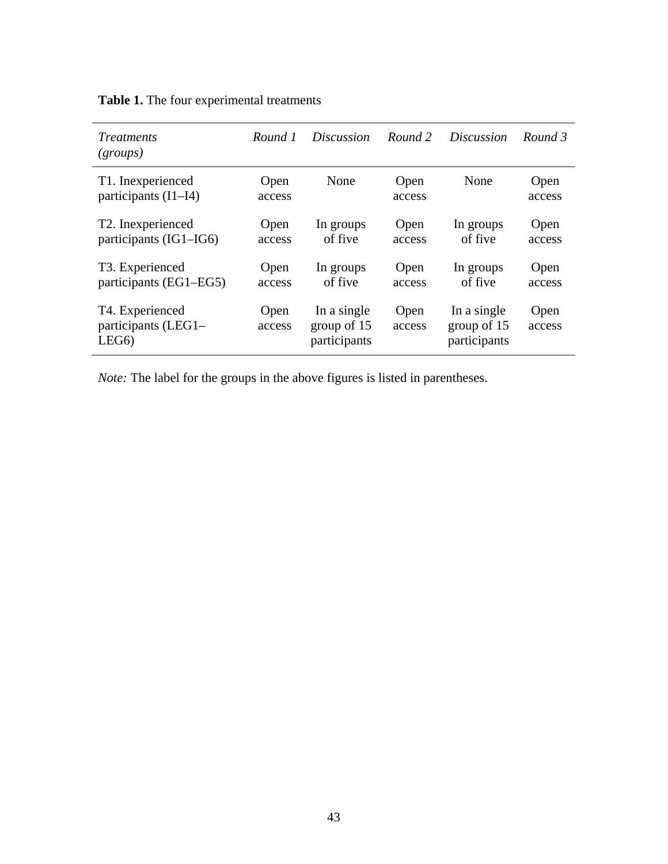| <i>Treatments</i><br>(groups)                              | Round 1        | <i>Discussion</i>                          | Round 2        | <i>Discussion</i>                          | Round 3        |
|------------------------------------------------------------|----------------|--------------------------------------------|----------------|--------------------------------------------|----------------|
| T1. Inexperienced<br>participants $(I1-I4)$                | Open<br>access | None                                       | Open<br>access | None                                       | Open<br>access |
| T <sub>2</sub> . Inexperienced<br>participants (IG1–IG6)   | Open<br>access | In groups<br>of five                       | Open<br>access | In groups<br>of five                       | Open<br>access |
| T <sub>3</sub> . Experienced<br>participants (EG1–EG5)     | Open<br>access | In groups<br>of five                       | Open<br>access | In groups<br>of five                       | Open<br>access |
| T4. Experienced<br>participants (LEG1-<br>LEG <sub>6</sub> | Open<br>access | In a single<br>group of 15<br>participants | Open<br>access | In a single<br>group of 15<br>participants | Open<br>access |

**Table 1.** The four experimental treatments

*Note:* The label for the groups in the above figures is listed in parentheses.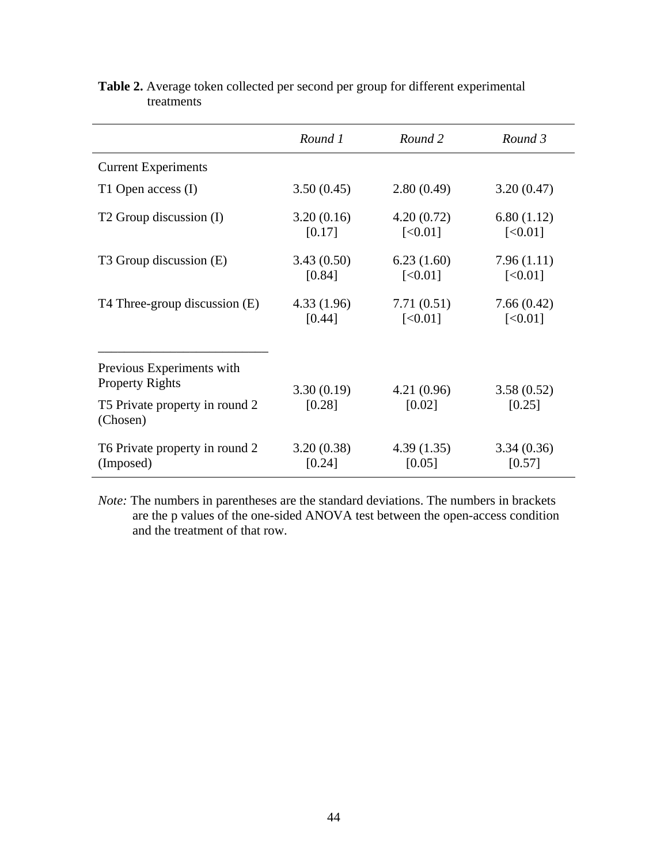|                                                     | Round 1              | Round 2               | Round 3               |
|-----------------------------------------------------|----------------------|-----------------------|-----------------------|
| <b>Current Experiments</b>                          |                      |                       |                       |
| T1 Open access (I)                                  | 3.50(0.45)           | 2.80(0.49)            | 3.20(0.47)            |
| T <sub>2</sub> Group discussion (I)                 | 3.20(0.16)<br>[0.17] | 4.20(0.72)<br>[<0.01] | 6.80(1.12)<br>[<0.01] |
| T3 Group discussion (E)                             | 3.43(0.50)<br>[0.84] | 6.23(1.60)<br>[<0.01] | 7.96(1.11)<br>[<0.01] |
| T4 Three-group discussion (E)                       | 4.33(1.96)<br>[0.44] | 7.71(0.51)<br>[<0.01] | 7.66(0.42)<br>[<0.01] |
| Previous Experiments with<br><b>Property Rights</b> | 3.30(0.19)           | 4.21(0.96)            | 3.58(0.52)            |
| T5 Private property in round 2<br>(Chosen)          | [0.28]               | [0.02]                | [0.25]                |
| T6 Private property in round 2<br>(Imposed)         | 3.20(0.38)<br>[0.24] | 4.39(1.35)<br>[0.05]  | 3.34(0.36)<br>[0.57]  |

# **Table 2.** Average token collected per second per group for different experimental treatments

*Note:* The numbers in parentheses are the standard deviations. The numbers in brackets are the p values of the one-sided ANOVA test between the open-access condition and the treatment of that row.